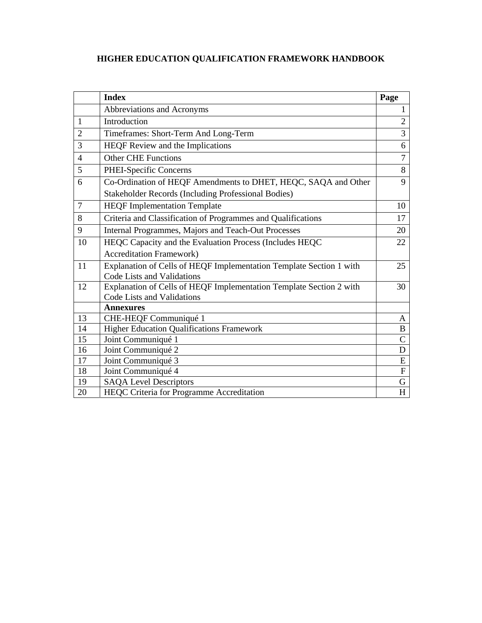# **HIGHER EDUCATION QUALIFICATION FRAMEWORK HANDBOOK**

|                | <b>Index</b>                                                        | Page           |
|----------------|---------------------------------------------------------------------|----------------|
|                | Abbreviations and Acronyms                                          | $\mathbf{1}$   |
| 1              | Introduction                                                        | $\overline{2}$ |
| $\overline{2}$ | Timeframes: Short-Term And Long-Term                                | 3              |
| 3              | HEQF Review and the Implications                                    | 6              |
| $\overline{4}$ | <b>Other CHE Functions</b>                                          | $\tau$         |
| 5              | PHEI-Specific Concerns                                              | 8              |
| 6              | Co-Ordination of HEQF Amendments to DHET, HEQC, SAQA and Other      | 9              |
|                | <b>Stakeholder Records (Including Professional Bodies)</b>          |                |
| $\overline{7}$ | <b>HEQF</b> Implementation Template                                 | 10             |
| 8              | Criteria and Classification of Programmes and Qualifications        | 17             |
| 9              | Internal Programmes, Majors and Teach-Out Processes                 | 20             |
| 10             | HEQC Capacity and the Evaluation Process (Includes HEQC             | 22             |
|                | <b>Accreditation Framework)</b>                                     |                |
| 11             | Explanation of Cells of HEQF Implementation Template Section 1 with | 25             |
|                | Code Lists and Validations                                          |                |
| 12             | Explanation of Cells of HEQF Implementation Template Section 2 with | 30             |
|                | Code Lists and Validations                                          |                |
|                | <b>Annexures</b>                                                    |                |
| 13             | CHE-HEQF Communiqué 1                                               | A              |
| 14             | <b>Higher Education Qualifications Framework</b>                    | B              |
| 15             | Joint Communiqué 1                                                  | $\mathbf C$    |
| 16             | Joint Communiqué 2                                                  | D              |
| 17             | Joint Communiqué 3                                                  | E              |
| 18             | Joint Communiqué 4                                                  | ${\bf F}$      |
| 19             | <b>SAQA</b> Level Descriptors                                       | G              |
| 20             | HEQC Criteria for Programme Accreditation                           | H              |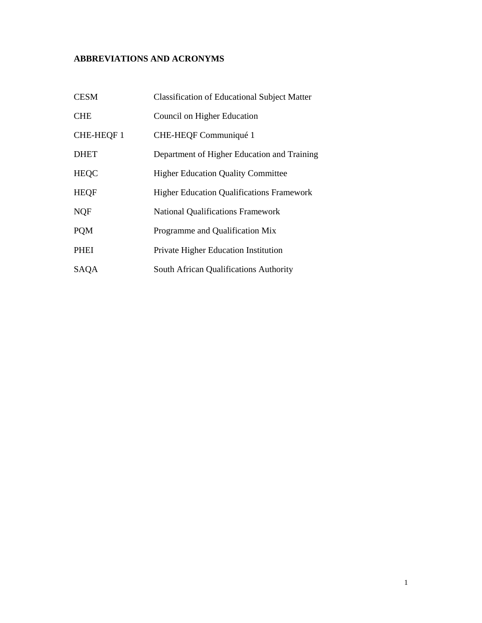# **ABBREVIATIONS AND ACRONYMS**

| <b>CESM</b> | <b>Classification of Educational Subject Matter</b> |
|-------------|-----------------------------------------------------|
| <b>CHE</b>  | Council on Higher Education                         |
| CHE-HEQF 1  | CHE-HEQF Communiqué 1                               |
| <b>DHET</b> | Department of Higher Education and Training         |
| <b>HEQC</b> | <b>Higher Education Quality Committee</b>           |
| <b>HEQF</b> | <b>Higher Education Qualifications Framework</b>    |
| <b>NQF</b>  | <b>National Qualifications Framework</b>            |
| <b>POM</b>  | Programme and Qualification Mix                     |
| <b>PHEI</b> | Private Higher Education Institution                |
| SAQA        | South African Qualifications Authority              |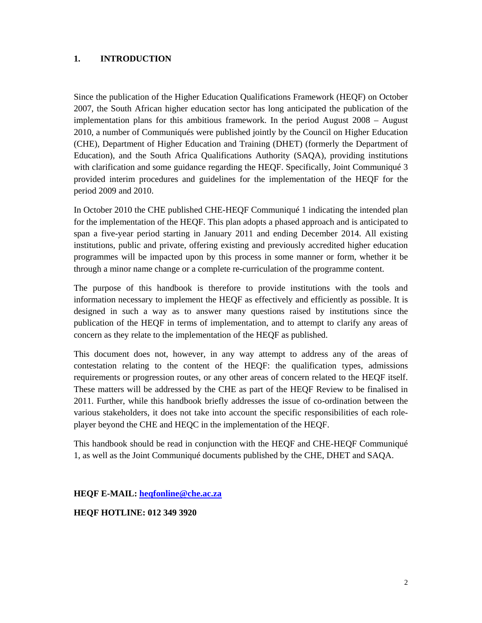# **1. INTRODUCTION**

Since the publication of the Higher Education Qualifications Framework (HEQF) on October 2007, the South African higher education sector has long anticipated the publication of the implementation plans for this ambitious framework. In the period August 2008 – August 2010, a number of Communiqués were published jointly by the Council on Higher Education (CHE), Department of Higher Education and Training (DHET) (formerly the Department of Education), and the South Africa Qualifications Authority (SAQA), providing institutions with clarification and some guidance regarding the HEQF. Specifically, Joint Communiqué 3 provided interim procedures and guidelines for the implementation of the HEQF for the period 2009 and 2010.

In October 2010 the CHE published CHE-HEQF Communiqué 1 indicating the intended plan for the implementation of the HEQF. This plan adopts a phased approach and is anticipated to span a five-year period starting in January 2011 and ending December 2014. All existing institutions, public and private, offering existing and previously accredited higher education programmes will be impacted upon by this process in some manner or form, whether it be through a minor name change or a complete re-curriculation of the programme content.

The purpose of this handbook is therefore to provide institutions with the tools and information necessary to implement the HEQF as effectively and efficiently as possible. It is designed in such a way as to answer many questions raised by institutions since the publication of the HEQF in terms of implementation, and to attempt to clarify any areas of concern as they relate to the implementation of the HEQF as published.

This document does not, however, in any way attempt to address any of the areas of contestation relating to the content of the HEQF: the qualification types, admissions requirements or progression routes, or any other areas of concern related to the HEQF itself. These matters will be addressed by the CHE as part of the HEQF Review to be finalised in 2011. Further, while this handbook briefly addresses the issue of co-ordination between the various stakeholders, it does not take into account the specific responsibilities of each roleplayer beyond the CHE and HEQC in the implementation of the HEQF.

This handbook should be read in conjunction with the HEQF and CHE-HEQF Communiqué 1, as well as the Joint Communiqué documents published by the CHE, DHET and SAQA.

**HEQF E-MAIL: heqfonline@che.ac.za**

**HEQF HOTLINE: 012 349 3920**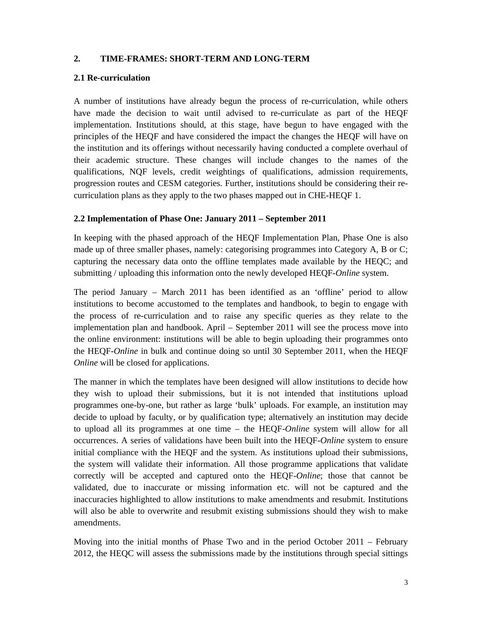# **2. TIME-FRAMES: SHORT-TERM AND LONG-TERM**

# **2.1 Re-curriculation**

A number of institutions have already begun the process of re-curriculation, while others have made the decision to wait until advised to re-curriculate as part of the HEQF implementation. Institutions should, at this stage, have begun to have engaged with the principles of the HEQF and have considered the impact the changes the HEQF will have on the institution and its offerings without necessarily having conducted a complete overhaul of their academic structure. These changes will include changes to the names of the qualifications, NQF levels, credit weightings of qualifications, admission requirements, progression routes and CESM categories. Further, institutions should be considering their recurriculation plans as they apply to the two phases mapped out in CHE-HEQF 1.

## **2.2 Implementation of Phase One: January 2011 – September 2011**

In keeping with the phased approach of the HEQF Implementation Plan, Phase One is also made up of three smaller phases, namely: categorising programmes into Category A, B or C; capturing the necessary data onto the offline templates made available by the HEQC; and submitting / uploading this information onto the newly developed HEQF*-Online* system.

The period January – March 2011 has been identified as an 'offline' period to allow institutions to become accustomed to the templates and handbook, to begin to engage with the process of re-curriculation and to raise any specific queries as they relate to the implementation plan and handbook. April – September 2011 will see the process move into the online environment: institutions will be able to begin uploading their programmes onto the HEQF*-Online* in bulk and continue doing so until 30 September 2011, when the HEQF *Online* will be closed for applications.

The manner in which the templates have been designed will allow institutions to decide how they wish to upload their submissions, but it is not intended that institutions upload programmes one-by-one, but rather as large 'bulk' uploads. For example, an institution may decide to upload by faculty, or by qualification type; alternatively an institution may decide to upload all its programmes at one time – the HEQF-*Online* system will allow for all occurrences. A series of validations have been built into the HEQF-*Online* system to ensure initial compliance with the HEQF and the system. As institutions upload their submissions, the system will validate their information. All those programme applications that validate correctly will be accepted and captured onto the HEQF-*Online*; those that cannot be validated, due to inaccurate or missing information etc. will not be captured and the inaccuracies highlighted to allow institutions to make amendments and resubmit. Institutions will also be able to overwrite and resubmit existing submissions should they wish to make amendments.

Moving into the initial months of Phase Two and in the period October 2011 – February 2012, the HEQC will assess the submissions made by the institutions through special sittings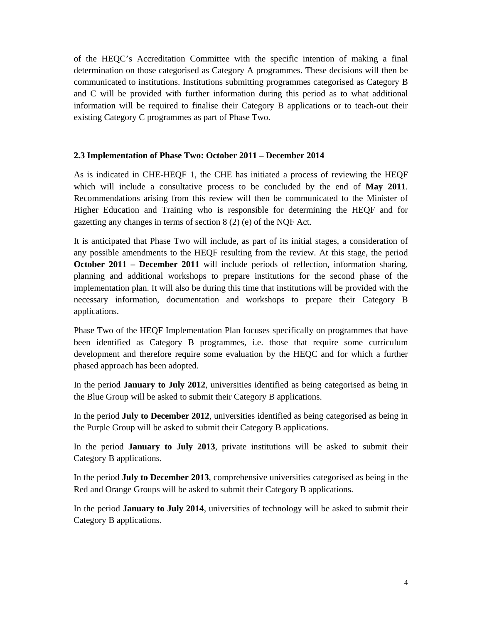of the HEQC's Accreditation Committee with the specific intention of making a final determination on those categorised as Category A programmes. These decisions will then be communicated to institutions. Institutions submitting programmes categorised as Category B and C will be provided with further information during this period as to what additional information will be required to finalise their Category B applications or to teach-out their existing Category C programmes as part of Phase Two.

### **2.3 Implementation of Phase Two: October 2011 – December 2014**

As is indicated in CHE-HEQF 1, the CHE has initiated a process of reviewing the HEQF which will include a consultative process to be concluded by the end of **May 2011**. Recommendations arising from this review will then be communicated to the Minister of Higher Education and Training who is responsible for determining the HEQF and for gazetting any changes in terms of section 8 (2) (e) of the NQF Act.

It is anticipated that Phase Two will include, as part of its initial stages, a consideration of any possible amendments to the HEQF resulting from the review. At this stage, the period **October 2011 – December 2011** will include periods of reflection, information sharing, planning and additional workshops to prepare institutions for the second phase of the implementation plan. It will also be during this time that institutions will be provided with the necessary information, documentation and workshops to prepare their Category B applications.

Phase Two of the HEQF Implementation Plan focuses specifically on programmes that have been identified as Category B programmes, i.e. those that require some curriculum development and therefore require some evaluation by the HEQC and for which a further phased approach has been adopted.

In the period **January to July 2012**, universities identified as being categorised as being in the Blue Group will be asked to submit their Category B applications.

In the period **July to December 2012**, universities identified as being categorised as being in the Purple Group will be asked to submit their Category B applications.

In the period **January to July 2013**, private institutions will be asked to submit their Category B applications.

In the period **July to December 2013**, comprehensive universities categorised as being in the Red and Orange Groups will be asked to submit their Category B applications.

In the period **January to July 2014**, universities of technology will be asked to submit their Category B applications.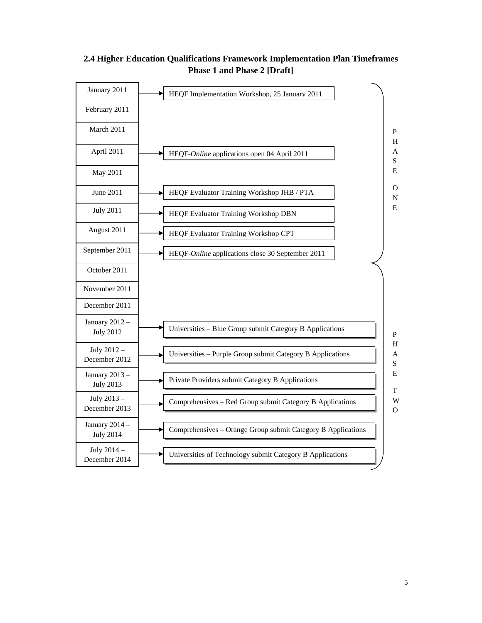

# **2.4 Higher Education Qualifications Framework Implementation Plan Timeframes Phase 1 and Phase 2 [Draft]**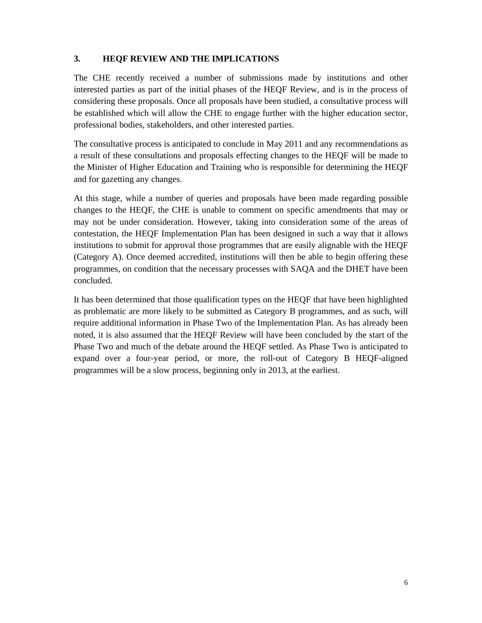# **3. HEQF REVIEW AND THE IMPLICATIONS**

The CHE recently received a number of submissions made by institutions and other interested parties as part of the initial phases of the HEQF Review, and is in the process of considering these proposals. Once all proposals have been studied, a consultative process will be established which will allow the CHE to engage further with the higher education sector, professional bodies, stakeholders, and other interested parties.

The consultative process is anticipated to conclude in May 2011 and any recommendations as a result of these consultations and proposals effecting changes to the HEQF will be made to the Minister of Higher Education and Training who is responsible for determining the HEQF and for gazetting any changes.

At this stage, while a number of queries and proposals have been made regarding possible changes to the HEQF, the CHE is unable to comment on specific amendments that may or may not be under consideration. However, taking into consideration some of the areas of contestation, the HEQF Implementation Plan has been designed in such a way that it allows institutions to submit for approval those programmes that are easily alignable with the HEQF (Category A). Once deemed accredited, institutions will then be able to begin offering these programmes, on condition that the necessary processes with SAQA and the DHET have been concluded.

It has been determined that those qualification types on the HEQF that have been highlighted as problematic are more likely to be submitted as Category B programmes, and as such, will require additional information in Phase Two of the Implementation Plan. As has already been noted, it is also assumed that the HEQF Review will have been concluded by the start of the Phase Two and much of the debate around the HEQF settled. As Phase Two is anticipated to expand over a four-year period, or more, the roll-out of Category B HEQF-aligned programmes will be a slow process, beginning only in 2013, at the earliest.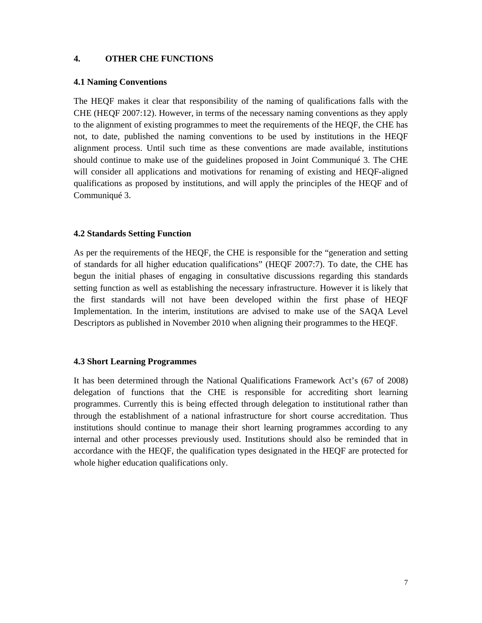## **4. OTHER CHE FUNCTIONS**

### **4.1 Naming Conventions**

The HEQF makes it clear that responsibility of the naming of qualifications falls with the CHE (HEQF 2007:12). However, in terms of the necessary naming conventions as they apply to the alignment of existing programmes to meet the requirements of the HEQF, the CHE has not, to date, published the naming conventions to be used by institutions in the HEQF alignment process. Until such time as these conventions are made available, institutions should continue to make use of the guidelines proposed in Joint Communiqué 3. The CHE will consider all applications and motivations for renaming of existing and HEQF-aligned qualifications as proposed by institutions, and will apply the principles of the HEQF and of Communiqué 3.

### **4.2 Standards Setting Function**

As per the requirements of the HEQF, the CHE is responsible for the "generation and setting of standards for all higher education qualifications" (HEQF 2007:7). To date, the CHE has begun the initial phases of engaging in consultative discussions regarding this standards setting function as well as establishing the necessary infrastructure. However it is likely that the first standards will not have been developed within the first phase of HEQF Implementation. In the interim, institutions are advised to make use of the SAQA Level Descriptors as published in November 2010 when aligning their programmes to the HEQF.

### **4.3 Short Learning Programmes**

It has been determined through the National Qualifications Framework Act's (67 of 2008) delegation of functions that the CHE is responsible for accrediting short learning programmes. Currently this is being effected through delegation to institutional rather than through the establishment of a national infrastructure for short course accreditation. Thus institutions should continue to manage their short learning programmes according to any internal and other processes previously used. Institutions should also be reminded that in accordance with the HEQF, the qualification types designated in the HEQF are protected for whole higher education qualifications only.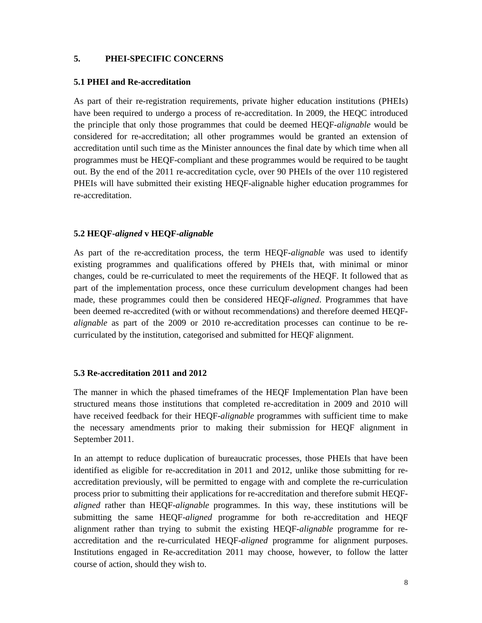## **5. PHEI-SPECIFIC CONCERNS**

### **5.1 PHEI and Re-accreditation**

As part of their re-registration requirements, private higher education institutions (PHEIs) have been required to undergo a process of re-accreditation. In 2009, the HEQC introduced the principle that only those programmes that could be deemed HEQF-*alignable* would be considered for re-accreditation; all other programmes would be granted an extension of accreditation until such time as the Minister announces the final date by which time when all programmes must be HEQF-compliant and these programmes would be required to be taught out. By the end of the 2011 re-accreditation cycle, over 90 PHEIs of the over 110 registered PHEIs will have submitted their existing HEQF-alignable higher education programmes for re-accreditation.

### **5.2 HEQF-***aligned* **v HEQF-***alignable*

As part of the re-accreditation process, the term HEQF*-alignable* was used to identify existing programmes and qualifications offered by PHEIs that, with minimal or minor changes, could be re-curriculated to meet the requirements of the HEQF. It followed that as part of the implementation process, once these curriculum development changes had been made, these programmes could then be considered HEQF*-aligned*. Programmes that have been deemed re-accredited (with or without recommendations) and therefore deemed HEQF*alignable* as part of the 2009 or 2010 re-accreditation processes can continue to be recurriculated by the institution, categorised and submitted for HEQF alignment.

### **5.3 Re-accreditation 2011 and 2012**

The manner in which the phased timeframes of the HEQF Implementation Plan have been structured means those institutions that completed re-accreditation in 2009 and 2010 will have received feedback for their HEQF-*alignable* programmes with sufficient time to make the necessary amendments prior to making their submission for HEQF alignment in September 2011.

In an attempt to reduce duplication of bureaucratic processes, those PHEIs that have been identified as eligible for re-accreditation in 2011 and 2012, unlike those submitting for reaccreditation previously, will be permitted to engage with and complete the re-curriculation process prior to submitting their applications for re-accreditation and therefore submit HEQF*aligned* rather than HEQF-*alignable* programmes. In this way, these institutions will be submitting the same HEQF-*aligned* programme for both re-accreditation and HEQF alignment rather than trying to submit the existing HEQF-*alignable* programme for reaccreditation and the re-curriculated HEQF-*aligned* programme for alignment purposes. Institutions engaged in Re-accreditation 2011 may choose, however, to follow the latter course of action, should they wish to.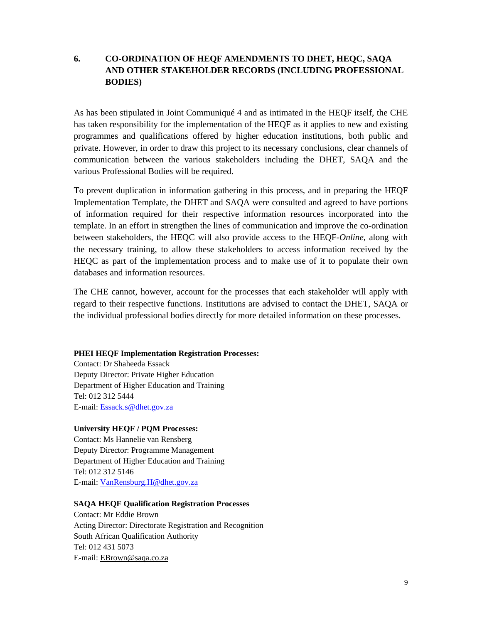# **6. CO-ORDINATION OF HEQF AMENDMENTS TO DHET, HEQC, SAQA AND OTHER STAKEHOLDER RECORDS (INCLUDING PROFESSIONAL BODIES)**

As has been stipulated in Joint Communiqué 4 and as intimated in the HEQF itself, the CHE has taken responsibility for the implementation of the HEQF as it applies to new and existing programmes and qualifications offered by higher education institutions, both public and private. However, in order to draw this project to its necessary conclusions, clear channels of communication between the various stakeholders including the DHET, SAQA and the various Professional Bodies will be required.

To prevent duplication in information gathering in this process, and in preparing the HEQF Implementation Template, the DHET and SAQA were consulted and agreed to have portions of information required for their respective information resources incorporated into the template. In an effort in strengthen the lines of communication and improve the co-ordination between stakeholders, the HEQC will also provide access to the HEQF-*Online*, along with the necessary training, to allow these stakeholders to access information received by the HEQC as part of the implementation process and to make use of it to populate their own databases and information resources.

The CHE cannot, however, account for the processes that each stakeholder will apply with regard to their respective functions. Institutions are advised to contact the DHET, SAQA or the individual professional bodies directly for more detailed information on these processes.

### **PHEI HEQF Implementation Registration Processes:**

Contact: Dr Shaheeda Essack Deputy Director: Private Higher Education Department of Higher Education and Training Tel: 012 312 5444 E-mail: Essack.s@dhet.gov.za

### **University HEQF / PQM Processes:**

Contact: Ms Hannelie van Rensberg Deputy Director: Programme Management Department of Higher Education and Training Tel: 012 312 5146 E-mail: VanRensburg.H@dhet.gov.za

### **SAQA HEQF Qualification Registration Processes**

Contact: Mr Eddie Brown Acting Director: Directorate Registration and Recognition South African Qualification Authority Tel: 012 431 5073 E-mail: EBrown@saqa.co.za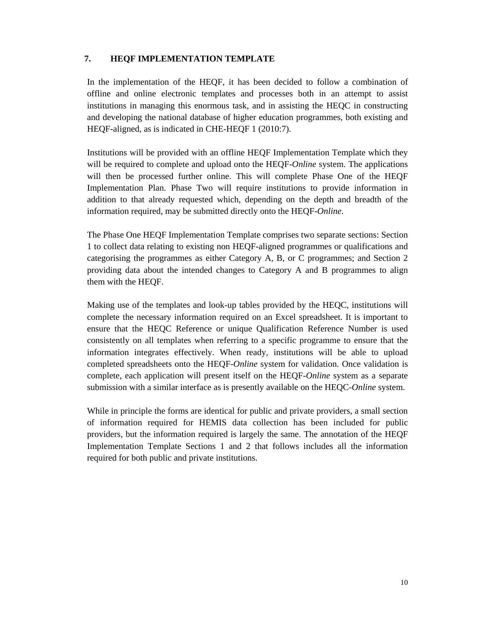# **7. HEQF IMPLEMENTATION TEMPLATE**

In the implementation of the HEQF, it has been decided to follow a combination of offline and online electronic templates and processes both in an attempt to assist institutions in managing this enormous task, and in assisting the HEQC in constructing and developing the national database of higher education programmes, both existing and HEQF-aligned, as is indicated in CHE-HEQF 1 (2010:7).

Institutions will be provided with an offline HEQF Implementation Template which they will be required to complete and upload onto the HEQF-*Online* system. The applications will then be processed further online. This will complete Phase One of the HEQF Implementation Plan. Phase Two will require institutions to provide information in addition to that already requested which, depending on the depth and breadth of the information required, may be submitted directly onto the HEQF-*Online*.

The Phase One HEQF Implementation Template comprises two separate sections: Section 1 to collect data relating to existing non HEQF-aligned programmes or qualifications and categorising the programmes as either Category A, B, or C programmes; and Section 2 providing data about the intended changes to Category A and B programmes to align them with the HEQF.

Making use of the templates and look-up tables provided by the HEQC, institutions will complete the necessary information required on an Excel spreadsheet. It is important to ensure that the HEQC Reference or unique Qualification Reference Number is used consistently on all templates when referring to a specific programme to ensure that the information integrates effectively. When ready, institutions will be able to upload completed spreadsheets onto the HEQF-*Online* system for validation. Once validation is complete, each application will present itself on the HEQF-*Online* system as a separate submission with a similar interface as is presently available on the HEQC-*Online* system.

While in principle the forms are identical for public and private providers, a small section of information required for HEMIS data collection has been included for public providers, but the information required is largely the same. The annotation of the HEQF Implementation Template Sections 1 and 2 that follows includes all the information required for both public and private institutions.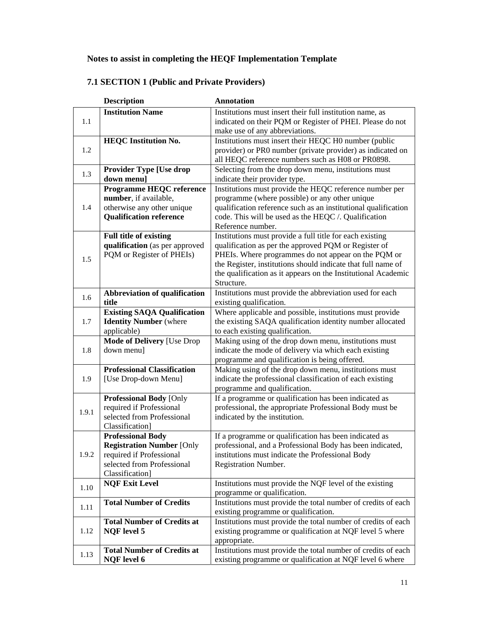# **Notes to assist in completing the HEQF Implementation Template**

|       | <b>Description</b>                                                                                                                        | <b>Annotation</b>                                                                                                                                                                                                                                                                                                      |
|-------|-------------------------------------------------------------------------------------------------------------------------------------------|------------------------------------------------------------------------------------------------------------------------------------------------------------------------------------------------------------------------------------------------------------------------------------------------------------------------|
| 1.1   | <b>Institution Name</b>                                                                                                                   | Institutions must insert their full institution name, as<br>indicated on their PQM or Register of PHEI. Please do not<br>make use of any abbreviations.                                                                                                                                                                |
| 1.2   | <b>HEQC</b> Institution No.                                                                                                               | Institutions must insert their HEQC H0 number (public<br>provider) or PR0 number (private provider) as indicated on<br>all HEQC reference numbers such as H08 or PR0898.                                                                                                                                               |
| 1.3   | <b>Provider Type [Use drop</b><br>down menu]                                                                                              | Selecting from the drop down menu, institutions must<br>indicate their provider type.                                                                                                                                                                                                                                  |
| 1.4   | <b>Programme HEQC reference</b><br>number, if available,<br>otherwise any other unique<br><b>Qualification reference</b>                  | Institutions must provide the HEQC reference number per<br>programme (where possible) or any other unique<br>qualification reference such as an institutional qualification<br>code. This will be used as the HEQC /. Qualification<br>Reference number.                                                               |
| 1.5   | <b>Full title of existing</b><br>qualification (as per approved<br>PQM or Register of PHEIs)                                              | Institutions must provide a full title for each existing<br>qualification as per the approved PQM or Register of<br>PHEIs. Where programmes do not appear on the PQM or<br>the Register, institutions should indicate that full name of<br>the qualification as it appears on the Institutional Academic<br>Structure. |
| 1.6   | Abbreviation of qualification<br>title                                                                                                    | Institutions must provide the abbreviation used for each<br>existing qualification.                                                                                                                                                                                                                                    |
| 1.7   | <b>Existing SAQA Qualification</b><br><b>Identity Number</b> (where<br>applicable)                                                        | Where applicable and possible, institutions must provide<br>the existing SAQA qualification identity number allocated<br>to each existing qualification.                                                                                                                                                               |
| 1.8   | <b>Mode of Delivery [Use Drop</b><br>down menu]                                                                                           | Making using of the drop down menu, institutions must<br>indicate the mode of delivery via which each existing<br>programme and qualification is being offered.                                                                                                                                                        |
| 1.9   | <b>Professional Classification</b><br>[Use Drop-down Menu]                                                                                | Making using of the drop down menu, institutions must<br>indicate the professional classification of each existing<br>programme and qualification.                                                                                                                                                                     |
| 1.9.1 | <b>Professional Body [Only</b><br>required if Professional<br>selected from Professional<br>Classification]                               | If a programme or qualification has been indicated as<br>professional, the appropriate Professional Body must be<br>indicated by the institution.                                                                                                                                                                      |
| 1.9.2 | <b>Professional Body</b><br><b>Registration Number [Only</b><br>required if Professional<br>selected from Professional<br>Classification] | If a programme or qualification has been indicated as<br>professional, and a Professional Body has been indicated,<br>institutions must indicate the Professional Body<br><b>Registration Number.</b>                                                                                                                  |
| 1.10  | <b>NQF Exit Level</b>                                                                                                                     | Institutions must provide the NQF level of the existing<br>programme or qualification.                                                                                                                                                                                                                                 |
| 1.11  | <b>Total Number of Credits</b>                                                                                                            | Institutions must provide the total number of credits of each<br>existing programme or qualification.                                                                                                                                                                                                                  |
| 1.12  | <b>Total Number of Credits at</b><br><b>NQF</b> level 5                                                                                   | Institutions must provide the total number of credits of each<br>existing programme or qualification at NQF level 5 where<br>appropriate.                                                                                                                                                                              |
| 1.13  | <b>Total Number of Credits at</b><br><b>NQF</b> level 6                                                                                   | Institutions must provide the total number of credits of each<br>existing programme or qualification at NQF level 6 where                                                                                                                                                                                              |

# **7.1 SECTION 1 (Public and Private Providers)**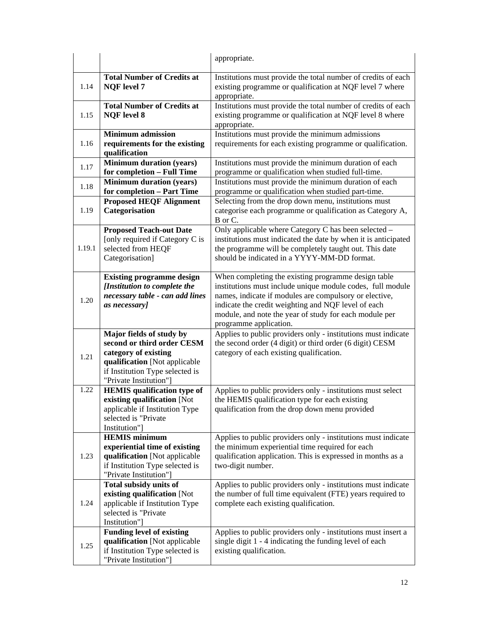|        |                                                                                                                                                                              | appropriate.                                                                                                                                                                                                                                                                                                           |
|--------|------------------------------------------------------------------------------------------------------------------------------------------------------------------------------|------------------------------------------------------------------------------------------------------------------------------------------------------------------------------------------------------------------------------------------------------------------------------------------------------------------------|
| 1.14   | <b>Total Number of Credits at</b><br><b>NQF</b> level 7                                                                                                                      | Institutions must provide the total number of credits of each<br>existing programme or qualification at NQF level 7 where<br>appropriate.                                                                                                                                                                              |
| 1.15   | <b>Total Number of Credits at</b><br><b>NQF</b> level 8                                                                                                                      | Institutions must provide the total number of credits of each<br>existing programme or qualification at NQF level 8 where<br>appropriate.                                                                                                                                                                              |
| 1.16   | <b>Minimum admission</b><br>requirements for the existing<br>qualification                                                                                                   | Institutions must provide the minimum admissions<br>requirements for each existing programme or qualification.                                                                                                                                                                                                         |
| 1.17   | <b>Minimum duration (years)</b><br>for completion - Full Time                                                                                                                | Institutions must provide the minimum duration of each<br>programme or qualification when studied full-time.                                                                                                                                                                                                           |
| 1.18   | <b>Minimum duration (years)</b><br>for completion - Part Time                                                                                                                | Institutions must provide the minimum duration of each<br>programme or qualification when studied part-time.                                                                                                                                                                                                           |
| 1.19   | <b>Proposed HEQF Alignment</b><br>Categorisation                                                                                                                             | Selecting from the drop down menu, institutions must<br>categorise each programme or qualification as Category A,<br>B or C.                                                                                                                                                                                           |
| 1.19.1 | <b>Proposed Teach-out Date</b><br>[only required if Category C is<br>selected from HEQF<br>Categorisation]                                                                   | Only applicable where Category C has been selected -<br>institutions must indicated the date by when it is anticipated<br>the programme will be completely taught out. This date<br>should be indicated in a YYYY-MM-DD format.                                                                                        |
| 1.20   | <b>Existing programme design</b><br>[Institution to complete the<br>necessary table - can add lines<br>as necessary]                                                         | When completing the existing programme design table<br>institutions must include unique module codes, full module<br>names, indicate if modules are compulsory or elective,<br>indicate the credit weighting and NQF level of each<br>module, and note the year of study for each module per<br>programme application. |
| 1.21   | Major fields of study by<br>second or third order CESM<br>category of existing<br>qualification [Not applicable<br>if Institution Type selected is<br>"Private Institution"] | Applies to public providers only - institutions must indicate<br>the second order (4 digit) or third order (6 digit) CESM<br>category of each existing qualification.                                                                                                                                                  |
| 1.22   | <b>HEMIS</b> qualification type of<br>existing qualification [Not<br>applicable if Institution Type<br>selected is "Private<br>Institution"]                                 | Applies to public providers only - institutions must select<br>the HEMIS qualification type for each existing<br>qualification from the drop down menu provided                                                                                                                                                        |
| 1.23   | <b>HEMIS</b> minimum<br>experiential time of existing<br>qualification [Not applicable<br>if Institution Type selected is<br>"Private Institution"]                          | Applies to public providers only - institutions must indicate<br>the minimum experiential time required for each<br>qualification application. This is expressed in months as a<br>two-digit number.                                                                                                                   |
| 1.24   | <b>Total subsidy units of</b><br>existing qualification [Not<br>applicable if Institution Type<br>selected is "Private<br>Institution"]                                      | Applies to public providers only - institutions must indicate<br>the number of full time equivalent (FTE) years required to<br>complete each existing qualification.                                                                                                                                                   |
| 1.25   | <b>Funding level of existing</b><br>qualification [Not applicable<br>if Institution Type selected is<br>"Private Institution"]                                               | Applies to public providers only - institutions must insert a<br>single digit 1 - 4 indicating the funding level of each<br>existing qualification.                                                                                                                                                                    |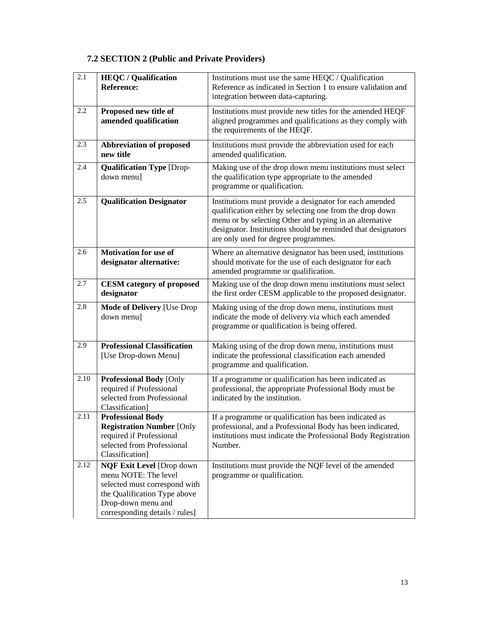# **7.2 SECTION 2 (Public and Private Providers)**

| 2.1  | <b>HEQC</b> / Qualification<br><b>Reference:</b>                                                                                                                                  | Institutions must use the same HEQC / Qualification<br>Reference as indicated in Section 1 to ensure validation and                                                                                                                                                                    |
|------|-----------------------------------------------------------------------------------------------------------------------------------------------------------------------------------|----------------------------------------------------------------------------------------------------------------------------------------------------------------------------------------------------------------------------------------------------------------------------------------|
|      |                                                                                                                                                                                   | integration between data-capturing.                                                                                                                                                                                                                                                    |
| 2.2  | Proposed new title of<br>amended qualification                                                                                                                                    | Institutions must provide new titles for the amended HEQF<br>aligned programmes and qualifications as they comply with<br>the requirements of the HEQF.                                                                                                                                |
| 2.3  | <b>Abbreviation of proposed</b><br>new title                                                                                                                                      | Institutions must provide the abbreviation used for each<br>amended qualification.                                                                                                                                                                                                     |
| 2.4  | <b>Qualification Type [Drop-</b><br>down menu]                                                                                                                                    | Making use of the drop down menu institutions must select<br>the qualification type appropriate to the amended<br>programme or qualification.                                                                                                                                          |
| 2.5  | <b>Qualification Designator</b>                                                                                                                                                   | Institutions must provide a designator for each amended<br>qualification either by selecting one from the drop down<br>menu or by selecting Other and typing in an alternative<br>designator. Institutions should be reminded that designators<br>are only used for degree programmes. |
| 2.6  | <b>Motivation for use of</b><br>designator alternative:                                                                                                                           | Where an alternative designator has been used, institutions<br>should motivate for the use of each designator for each<br>amended programme or qualification.                                                                                                                          |
| 2.7  | <b>CESM</b> category of proposed<br>designator                                                                                                                                    | Making use of the drop down menu institutions must select<br>the first order CESM applicable to the proposed designator.                                                                                                                                                               |
| 2.8  | <b>Mode of Delivery [Use Drop</b><br>down menu]                                                                                                                                   | Making using of the drop down menu, institutions must<br>indicate the mode of delivery via which each amended<br>programme or qualification is being offered.                                                                                                                          |
| 2.9  | <b>Professional Classification</b><br>[Use Drop-down Menu]                                                                                                                        | Making using of the drop down menu, institutions must<br>indicate the professional classification each amended<br>programme and qualification.                                                                                                                                         |
| 2.10 | <b>Professional Body [Only</b><br>required if Professional<br>selected from Professional<br>Classification]                                                                       | If a programme or qualification has been indicated as<br>professional, the appropriate Professional Body must be<br>indicated by the institution.                                                                                                                                      |
| 2.11 | <b>Professional Body</b><br><b>Registration Number [Only</b><br>required if Professional<br>selected from Professional<br>Classification]                                         | If a programme or qualification has been indicated as<br>professional, and a Professional Body has been indicated,<br>institutions must indicate the Professional Body Registration<br>Number.                                                                                         |
| 2.12 | <b>NQF Exit Level [Drop down</b><br>menu NOTE: The level<br>selected must correspond with<br>the Qualification Type above<br>Drop-down menu and<br>corresponding details / rules] | Institutions must provide the NQF level of the amended<br>programme or qualification.                                                                                                                                                                                                  |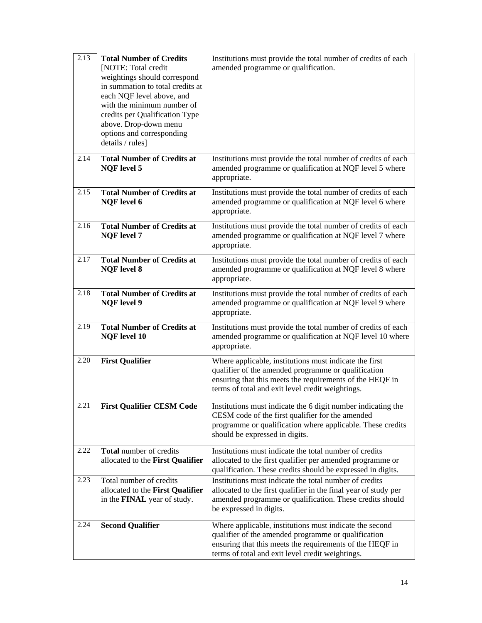| 2.13 | <b>Total Number of Credits</b><br>[NOTE: Total credit<br>weightings should correspond<br>in summation to total credits at<br>each NQF level above, and<br>with the minimum number of<br>credits per Qualification Type<br>above. Drop-down menu<br>options and corresponding<br>details / rules] | Institutions must provide the total number of credits of each<br>amended programme or qualification.                                                                                                                           |
|------|--------------------------------------------------------------------------------------------------------------------------------------------------------------------------------------------------------------------------------------------------------------------------------------------------|--------------------------------------------------------------------------------------------------------------------------------------------------------------------------------------------------------------------------------|
| 2.14 | <b>Total Number of Credits at</b><br><b>NQF</b> level 5                                                                                                                                                                                                                                          | Institutions must provide the total number of credits of each<br>amended programme or qualification at NQF level 5 where<br>appropriate.                                                                                       |
| 2.15 | <b>Total Number of Credits at</b><br><b>NQF</b> level 6                                                                                                                                                                                                                                          | Institutions must provide the total number of credits of each<br>amended programme or qualification at NQF level 6 where<br>appropriate.                                                                                       |
| 2.16 | <b>Total Number of Credits at</b><br><b>NQF</b> level 7                                                                                                                                                                                                                                          | Institutions must provide the total number of credits of each<br>amended programme or qualification at NQF level 7 where<br>appropriate.                                                                                       |
| 2.17 | <b>Total Number of Credits at</b><br><b>NQF</b> level 8                                                                                                                                                                                                                                          | Institutions must provide the total number of credits of each<br>amended programme or qualification at NQF level 8 where<br>appropriate.                                                                                       |
| 2.18 | <b>Total Number of Credits at</b><br><b>NQF</b> level 9                                                                                                                                                                                                                                          | Institutions must provide the total number of credits of each<br>amended programme or qualification at NQF level 9 where<br>appropriate.                                                                                       |
| 2.19 | <b>Total Number of Credits at</b><br><b>NQF</b> level 10                                                                                                                                                                                                                                         | Institutions must provide the total number of credits of each<br>amended programme or qualification at NQF level 10 where<br>appropriate.                                                                                      |
| 2.20 | <b>First Qualifier</b>                                                                                                                                                                                                                                                                           | Where applicable, institutions must indicate the first<br>qualifier of the amended programme or qualification<br>ensuring that this meets the requirements of the HEQF in<br>terms of total and exit level credit weightings.  |
|      | 2.21 First Qualifier CESM Code                                                                                                                                                                                                                                                                   | Institutions must indicate the 6 digit number indicating the<br>CESM code of the first qualifier for the amended<br>programme or qualification where applicable. These credits<br>should be expressed in digits.               |
| 2.22 | Total number of credits<br>allocated to the First Qualifier                                                                                                                                                                                                                                      | Institutions must indicate the total number of credits<br>allocated to the first qualifier per amended programme or<br>qualification. These credits should be expressed in digits.                                             |
| 2.23 | Total number of credits<br>allocated to the First Qualifier<br>in the <b>FINAL</b> year of study.                                                                                                                                                                                                | Institutions must indicate the total number of credits<br>allocated to the first qualifier in the final year of study per<br>amended programme or qualification. These credits should<br>be expressed in digits.               |
| 2.24 | <b>Second Qualifier</b>                                                                                                                                                                                                                                                                          | Where applicable, institutions must indicate the second<br>qualifier of the amended programme or qualification<br>ensuring that this meets the requirements of the HEQF in<br>terms of total and exit level credit weightings. |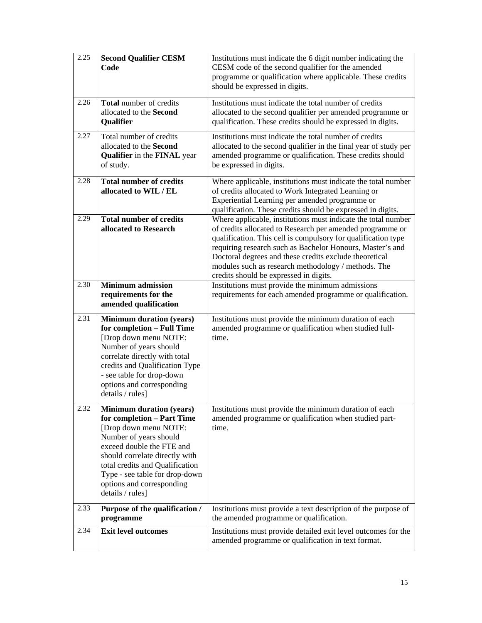| 2.25 | <b>Second Qualifier CESM</b><br>Code                                                                                                                                                                                                                                                                  | Institutions must indicate the 6 digit number indicating the<br>CESM code of the second qualifier for the amended<br>programme or qualification where applicable. These credits<br>should be expressed in digits.                                                                                                                                                                                                   |
|------|-------------------------------------------------------------------------------------------------------------------------------------------------------------------------------------------------------------------------------------------------------------------------------------------------------|---------------------------------------------------------------------------------------------------------------------------------------------------------------------------------------------------------------------------------------------------------------------------------------------------------------------------------------------------------------------------------------------------------------------|
| 2.26 | Total number of credits<br>allocated to the Second<br>Qualifier                                                                                                                                                                                                                                       | Institutions must indicate the total number of credits<br>allocated to the second qualifier per amended programme or<br>qualification. These credits should be expressed in digits.                                                                                                                                                                                                                                 |
| 2.27 | Total number of credits<br>allocated to the Second<br><b>Qualifier</b> in the <b>FINAL</b> year<br>of study.                                                                                                                                                                                          | Institutions must indicate the total number of credits<br>allocated to the second qualifier in the final year of study per<br>amended programme or qualification. These credits should<br>be expressed in digits.                                                                                                                                                                                                   |
| 2.28 | <b>Total number of credits</b><br>allocated to WIL / EL                                                                                                                                                                                                                                               | Where applicable, institutions must indicate the total number<br>of credits allocated to Work Integrated Learning or<br>Experiential Learning per amended programme or<br>qualification. These credits should be expressed in digits.                                                                                                                                                                               |
| 2.29 | <b>Total number of credits</b><br>allocated to Research                                                                                                                                                                                                                                               | Where applicable, institutions must indicate the total number<br>of credits allocated to Research per amended programme or<br>qualification. This cell is compulsory for qualification type<br>requiring research such as Bachelor Honours, Master's and<br>Doctoral degrees and these credits exclude theoretical<br>modules such as research methodology / methods. The<br>credits should be expressed in digits. |
| 2.30 | <b>Minimum admission</b><br>requirements for the<br>amended qualification                                                                                                                                                                                                                             | Institutions must provide the minimum admissions<br>requirements for each amended programme or qualification.                                                                                                                                                                                                                                                                                                       |
| 2.31 | <b>Minimum duration (years)</b><br>for completion - Full Time<br>[Drop down menu NOTE:<br>Number of years should<br>correlate directly with total<br>credits and Qualification Type<br>- see table for drop-down<br>options and corresponding<br>details / rules]                                     | Institutions must provide the minimum duration of each<br>amended programme or qualification when studied full-<br>time.                                                                                                                                                                                                                                                                                            |
| 2.32 | <b>Minimum duration (years)</b><br>for completion - Part Time<br>[Drop down menu NOTE:<br>Number of years should<br>exceed double the FTE and<br>should correlate directly with<br>total credits and Qualification<br>Type - see table for drop-down<br>options and corresponding<br>details / rules] | Institutions must provide the minimum duration of each<br>amended programme or qualification when studied part-<br>time.                                                                                                                                                                                                                                                                                            |
| 2.33 | Purpose of the qualification /<br>programme                                                                                                                                                                                                                                                           | Institutions must provide a text description of the purpose of<br>the amended programme or qualification.                                                                                                                                                                                                                                                                                                           |
| 2.34 | <b>Exit level outcomes</b>                                                                                                                                                                                                                                                                            | Institutions must provide detailed exit level outcomes for the<br>amended programme or qualification in text format.                                                                                                                                                                                                                                                                                                |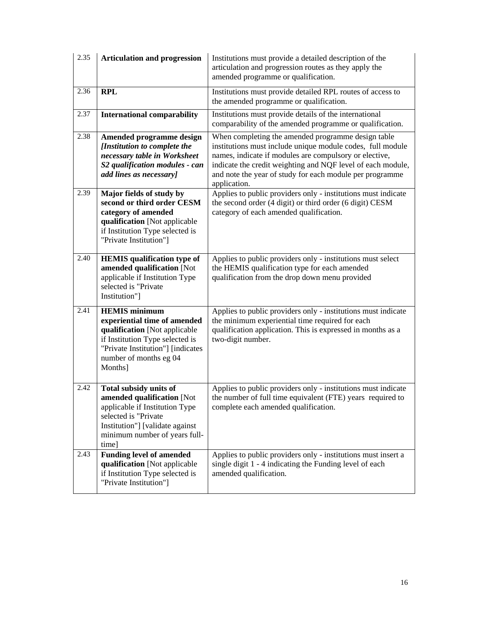| 2.35 | <b>Articulation and progression</b>                                                                                                                                                                | Institutions must provide a detailed description of the<br>articulation and progression routes as they apply the<br>amended programme or qualification.                                                                                                                                                               |
|------|----------------------------------------------------------------------------------------------------------------------------------------------------------------------------------------------------|-----------------------------------------------------------------------------------------------------------------------------------------------------------------------------------------------------------------------------------------------------------------------------------------------------------------------|
| 2.36 | <b>RPL</b>                                                                                                                                                                                         | Institutions must provide detailed RPL routes of access to<br>the amended programme or qualification.                                                                                                                                                                                                                 |
| 2.37 | <b>International comparability</b>                                                                                                                                                                 | Institutions must provide details of the international<br>comparability of the amended programme or qualification.                                                                                                                                                                                                    |
| 2.38 | Amended programme design<br>[Institution to complete the<br>necessary table in Worksheet<br>S2 qualification modules - can<br>add lines as necessary]                                              | When completing the amended programme design table<br>institutions must include unique module codes, full module<br>names, indicate if modules are compulsory or elective,<br>indicate the credit weighting and NQF level of each module,<br>and note the year of study for each module per programme<br>application. |
| 2.39 | Major fields of study by<br>second or third order CESM<br>category of amended<br>qualification [Not applicable<br>if Institution Type selected is<br>"Private Institution"]                        | Applies to public providers only - institutions must indicate<br>the second order (4 digit) or third order (6 digit) CESM<br>category of each amended qualification.                                                                                                                                                  |
| 2.40 | <b>HEMIS</b> qualification type of<br>amended qualification [Not<br>applicable if Institution Type<br>selected is "Private<br>Institution"]                                                        | Applies to public providers only - institutions must select<br>the HEMIS qualification type for each amended<br>qualification from the drop down menu provided                                                                                                                                                        |
| 2.41 | <b>HEMIS</b> minimum<br>experiential time of amended<br>qualification [Not applicable<br>if Institution Type selected is<br>"Private Institution"] [indicates<br>number of months eg 04<br>Months] | Applies to public providers only - institutions must indicate<br>the minimum experiential time required for each<br>qualification application. This is expressed in months as a<br>two-digit number.                                                                                                                  |
| 2.42 | Total subsidy units of<br>amended qualification [Not<br>applicable if Institution Type<br>selected is "Private<br>Institution"] [validate against<br>minimum number of years full-<br>time]        | Applies to public providers only - institutions must indicate<br>the number of full time equivalent (FTE) years required to<br>complete each amended qualification.                                                                                                                                                   |
| 2.43 | <b>Funding level of amended</b><br>qualification [Not applicable<br>if Institution Type selected is<br>"Private Institution"]                                                                      | Applies to public providers only - institutions must insert a<br>single digit 1 - 4 indicating the Funding level of each<br>amended qualification.                                                                                                                                                                    |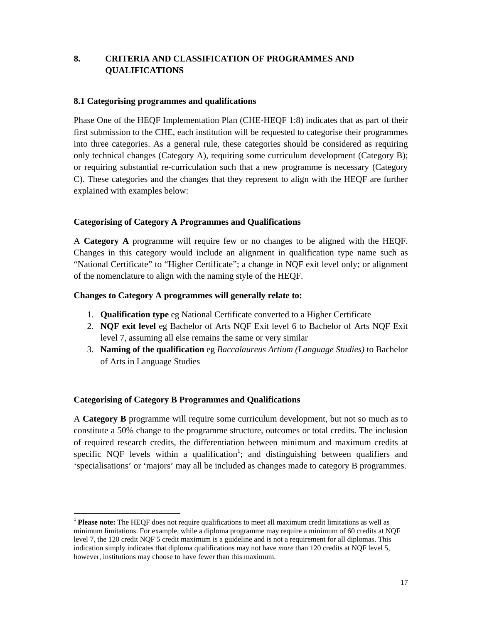# **8. CRITERIA AND CLASSIFICATION OF PROGRAMMES AND QUALIFICATIONS**

## **8.1 Categorising programmes and qualifications**

Phase One of the HEQF Implementation Plan (CHE-HEQF 1:8) indicates that as part of their first submission to the CHE, each institution will be requested to categorise their programmes into three categories. As a general rule, these categories should be considered as requiring only technical changes (Category A), requiring some curriculum development (Category B); or requiring substantial re-curriculation such that a new programme is necessary (Category C). These categories and the changes that they represent to align with the HEQF are further explained with examples below:

## **Categorising of Category A Programmes and Qualifications**

A **Category A** programme will require few or no changes to be aligned with the HEQF. Changes in this category would include an alignment in qualification type name such as "National Certificate" to "Higher Certificate"; a change in NQF exit level only; or alignment of the nomenclature to align with the naming style of the HEQF.

## **Changes to Category A programmes will generally relate to:**

- 1. **Qualification type** eg National Certificate converted to a Higher Certificate
- 2. **NQF exit level** eg Bachelor of Arts NQF Exit level 6 to Bachelor of Arts NQF Exit level 7, assuming all else remains the same or very similar
- 3. **Naming of the qualification** eg *Baccalaureus Artium (Language Studies)* to Bachelor of Arts in Language Studies

# **Categorising of Category B Programmes and Qualifications**

A **Category B** programme will require some curriculum development, but not so much as to constitute a 50% change to the programme structure, outcomes or total credits. The inclusion of required research credits, the differentiation between minimum and maximum credits at specific NQF levels within a qualification<sup>1</sup>; and distinguishing between qualifiers and 'specialisations' or 'majors' may all be included as changes made to category B programmes.

<sup>1</sup> **Please note:** The HEQF does not require qualifications to meet all maximum credit limitations as well as minimum limitations. For example, while a diploma programme may require a minimum of 60 credits at NQF level 7, the 120 credit NQF 5 credit maximum is a guideline and is not a requirement for all diplomas. This indication simply indicates that diploma qualifications may not have *more* than 120 credits at NQF level 5, however, institutions may choose to have fewer than this maximum.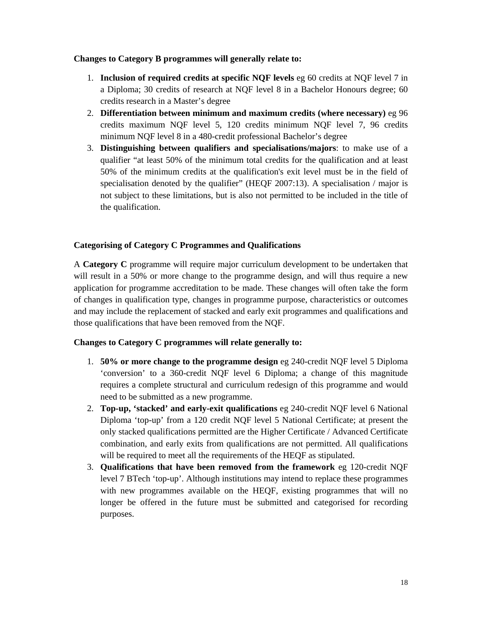## **Changes to Category B programmes will generally relate to:**

- 1. **Inclusion of required credits at specific NQF levels** eg 60 credits at NQF level 7 in a Diploma; 30 credits of research at NQF level 8 in a Bachelor Honours degree; 60 credits research in a Master's degree
- 2. **Differentiation between minimum and maximum credits (where necessary)** eg 96 credits maximum NQF level 5, 120 credits minimum NQF level 7, 96 credits minimum NQF level 8 in a 480-credit professional Bachelor's degree
- 3. **Distinguishing between qualifiers and specialisations/majors**: to make use of a qualifier "at least 50% of the minimum total credits for the qualification and at least 50% of the minimum credits at the qualification's exit level must be in the field of specialisation denoted by the qualifier" (HEQF 2007:13). A specialisation / major is not subject to these limitations, but is also not permitted to be included in the title of the qualification.

# **Categorising of Category C Programmes and Qualifications**

A **Category C** programme will require major curriculum development to be undertaken that will result in a 50% or more change to the programme design, and will thus require a new application for programme accreditation to be made. These changes will often take the form of changes in qualification type, changes in programme purpose, characteristics or outcomes and may include the replacement of stacked and early exit programmes and qualifications and those qualifications that have been removed from the NQF.

# **Changes to Category C programmes will relate generally to:**

- 1. **50% or more change to the programme design** eg 240-credit NQF level 5 Diploma 'conversion' to a 360-credit NQF level 6 Diploma; a change of this magnitude requires a complete structural and curriculum redesign of this programme and would need to be submitted as a new programme.
- 2. **Top-up, 'stacked' and early-exit qualifications** eg 240-credit NQF level 6 National Diploma 'top-up' from a 120 credit NQF level 5 National Certificate; at present the only stacked qualifications permitted are the Higher Certificate / Advanced Certificate combination, and early exits from qualifications are not permitted. All qualifications will be required to meet all the requirements of the HEQF as stipulated.
- 3. **Qualifications that have been removed from the framework** eg 120-credit NQF level 7 BTech 'top-up'. Although institutions may intend to replace these programmes with new programmes available on the HEQF, existing programmes that will no longer be offered in the future must be submitted and categorised for recording purposes.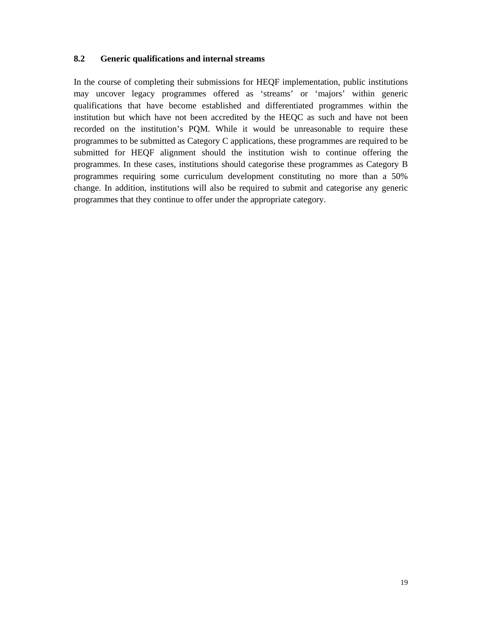# **8.2 Generic qualifications and internal streams**

In the course of completing their submissions for HEQF implementation, public institutions may uncover legacy programmes offered as 'streams' or 'majors' within generic qualifications that have become established and differentiated programmes within the institution but which have not been accredited by the HEQC as such and have not been recorded on the institution's PQM. While it would be unreasonable to require these programmes to be submitted as Category C applications, these programmes are required to be submitted for HEQF alignment should the institution wish to continue offering the programmes. In these cases, institutions should categorise these programmes as Category B programmes requiring some curriculum development constituting no more than a 50% change. In addition, institutions will also be required to submit and categorise any generic programmes that they continue to offer under the appropriate category.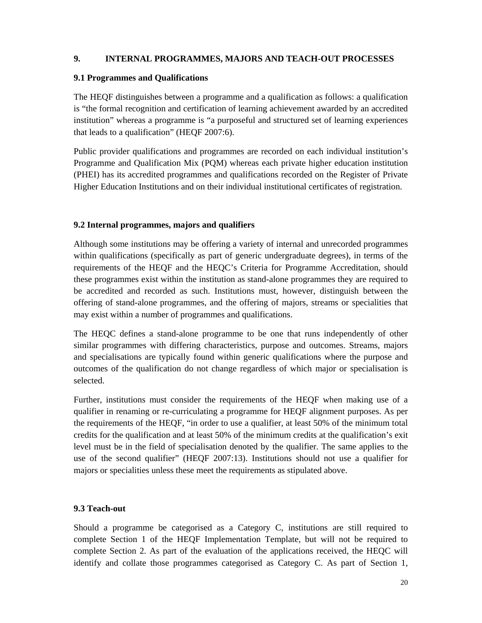# **9. INTERNAL PROGRAMMES, MAJORS AND TEACH-OUT PROCESSES**

### **9.1 Programmes and Qualifications**

The HEQF distinguishes between a programme and a qualification as follows: a qualification is "the formal recognition and certification of learning achievement awarded by an accredited institution" whereas a programme is "a purposeful and structured set of learning experiences that leads to a qualification" (HEQF 2007:6).

Public provider qualifications and programmes are recorded on each individual institution's Programme and Qualification Mix (PQM) whereas each private higher education institution (PHEI) has its accredited programmes and qualifications recorded on the Register of Private Higher Education Institutions and on their individual institutional certificates of registration.

## **9.2 Internal programmes, majors and qualifiers**

Although some institutions may be offering a variety of internal and unrecorded programmes within qualifications (specifically as part of generic undergraduate degrees), in terms of the requirements of the HEQF and the HEQC's Criteria for Programme Accreditation, should these programmes exist within the institution as stand-alone programmes they are required to be accredited and recorded as such. Institutions must, however, distinguish between the offering of stand-alone programmes, and the offering of majors, streams or specialities that may exist within a number of programmes and qualifications.

The HEQC defines a stand-alone programme to be one that runs independently of other similar programmes with differing characteristics, purpose and outcomes. Streams, majors and specialisations are typically found within generic qualifications where the purpose and outcomes of the qualification do not change regardless of which major or specialisation is selected.

Further, institutions must consider the requirements of the HEQF when making use of a qualifier in renaming or re-curriculating a programme for HEQF alignment purposes. As per the requirements of the HEQF, "in order to use a qualifier, at least 50% of the minimum total credits for the qualification and at least 50% of the minimum credits at the qualification's exit level must be in the field of specialisation denoted by the qualifier. The same applies to the use of the second qualifier" (HEQF 2007:13). Institutions should not use a qualifier for majors or specialities unless these meet the requirements as stipulated above.

### **9.3 Teach-out**

Should a programme be categorised as a Category C, institutions are still required to complete Section 1 of the HEQF Implementation Template, but will not be required to complete Section 2. As part of the evaluation of the applications received, the HEQC will identify and collate those programmes categorised as Category C. As part of Section 1,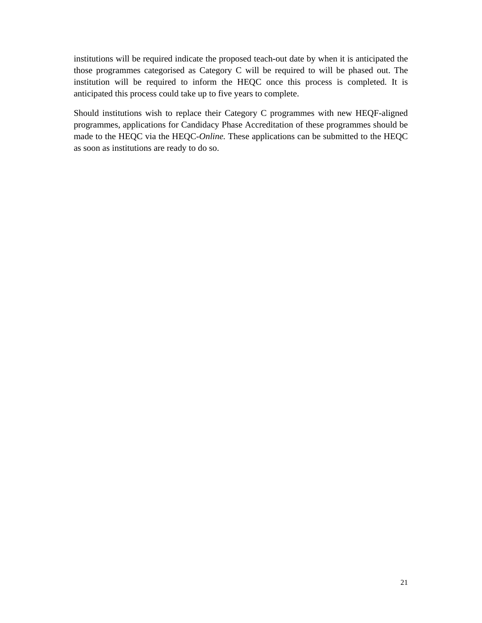institutions will be required indicate the proposed teach-out date by when it is anticipated the those programmes categorised as Category C will be required to will be phased out. The institution will be required to inform the HEQC once this process is completed. It is anticipated this process could take up to five years to complete.

Should institutions wish to replace their Category C programmes with new HEQF-aligned programmes, applications for Candidacy Phase Accreditation of these programmes should be made to the HEQC via the HEQC-*Online.* These applications can be submitted to the HEQC as soon as institutions are ready to do so.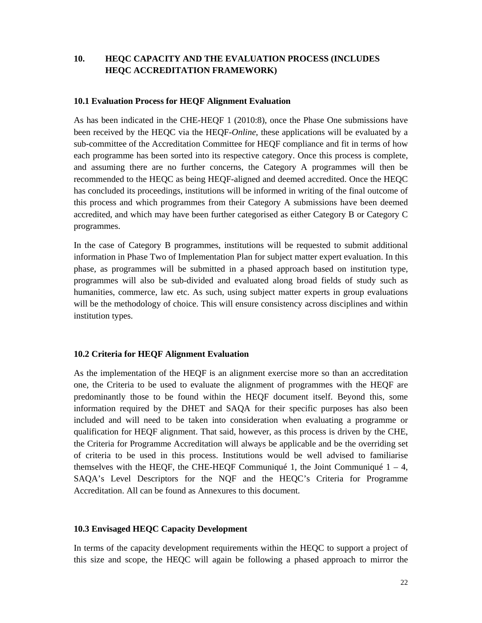# **10. HEQC CAPACITY AND THE EVALUATION PROCESS (INCLUDES HEQC ACCREDITATION FRAMEWORK)**

### **10.1 Evaluation Process for HEQF Alignment Evaluation**

As has been indicated in the CHE-HEQF 1 (2010:8), once the Phase One submissions have been received by the HEQC via the HEQF-*Online*, these applications will be evaluated by a sub-committee of the Accreditation Committee for HEQF compliance and fit in terms of how each programme has been sorted into its respective category. Once this process is complete, and assuming there are no further concerns, the Category A programmes will then be recommended to the HEQC as being HEQF-aligned and deemed accredited. Once the HEQC has concluded its proceedings, institutions will be informed in writing of the final outcome of this process and which programmes from their Category A submissions have been deemed accredited, and which may have been further categorised as either Category B or Category C programmes.

In the case of Category B programmes, institutions will be requested to submit additional information in Phase Two of Implementation Plan for subject matter expert evaluation. In this phase, as programmes will be submitted in a phased approach based on institution type, programmes will also be sub-divided and evaluated along broad fields of study such as humanities, commerce, law etc. As such, using subject matter experts in group evaluations will be the methodology of choice. This will ensure consistency across disciplines and within institution types.

### **10.2 Criteria for HEQF Alignment Evaluation**

As the implementation of the HEQF is an alignment exercise more so than an accreditation one, the Criteria to be used to evaluate the alignment of programmes with the HEQF are predominantly those to be found within the HEQF document itself. Beyond this, some information required by the DHET and SAQA for their specific purposes has also been included and will need to be taken into consideration when evaluating a programme or qualification for HEQF alignment. That said, however, as this process is driven by the CHE, the Criteria for Programme Accreditation will always be applicable and be the overriding set of criteria to be used in this process. Institutions would be well advised to familiarise themselves with the HEQF, the CHE-HEQF Communiqué 1, the Joint Communiqué  $1 - 4$ , SAQA's Level Descriptors for the NQF and the HEQC's Criteria for Programme Accreditation. All can be found as Annexures to this document.

### **10.3 Envisaged HEQC Capacity Development**

In terms of the capacity development requirements within the HEQC to support a project of this size and scope, the HEQC will again be following a phased approach to mirror the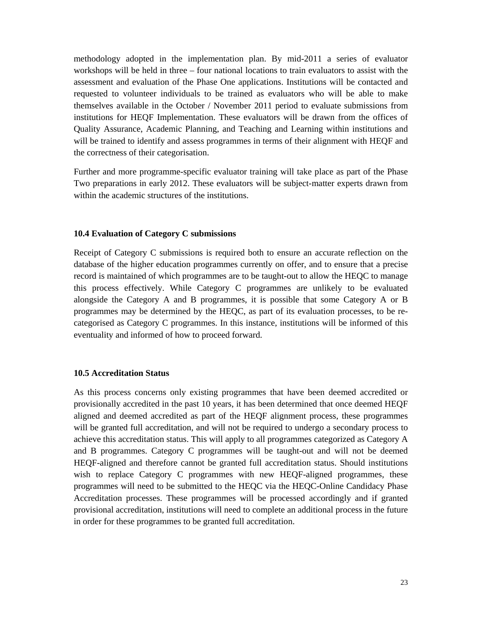methodology adopted in the implementation plan. By mid-2011 a series of evaluator workshops will be held in three – four national locations to train evaluators to assist with the assessment and evaluation of the Phase One applications. Institutions will be contacted and requested to volunteer individuals to be trained as evaluators who will be able to make themselves available in the October / November 2011 period to evaluate submissions from institutions for HEQF Implementation. These evaluators will be drawn from the offices of Quality Assurance, Academic Planning, and Teaching and Learning within institutions and will be trained to identify and assess programmes in terms of their alignment with HEQF and the correctness of their categorisation.

Further and more programme-specific evaluator training will take place as part of the Phase Two preparations in early 2012. These evaluators will be subject-matter experts drawn from within the academic structures of the institutions.

### **10.4 Evaluation of Category C submissions**

Receipt of Category C submissions is required both to ensure an accurate reflection on the database of the higher education programmes currently on offer, and to ensure that a precise record is maintained of which programmes are to be taught-out to allow the HEQC to manage this process effectively. While Category C programmes are unlikely to be evaluated alongside the Category A and B programmes, it is possible that some Category A or B programmes may be determined by the HEQC, as part of its evaluation processes, to be recategorised as Category C programmes. In this instance, institutions will be informed of this eventuality and informed of how to proceed forward.

### **10.5 Accreditation Status**

As this process concerns only existing programmes that have been deemed accredited or provisionally accredited in the past 10 years, it has been determined that once deemed HEQF aligned and deemed accredited as part of the HEQF alignment process, these programmes will be granted full accreditation, and will not be required to undergo a secondary process to achieve this accreditation status. This will apply to all programmes categorized as Category A and B programmes. Category C programmes will be taught-out and will not be deemed HEQF-aligned and therefore cannot be granted full accreditation status. Should institutions wish to replace Category C programmes with new HEQF-aligned programmes, these programmes will need to be submitted to the HEQC via the HEQC-Online Candidacy Phase Accreditation processes. These programmes will be processed accordingly and if granted provisional accreditation, institutions will need to complete an additional process in the future in order for these programmes to be granted full accreditation.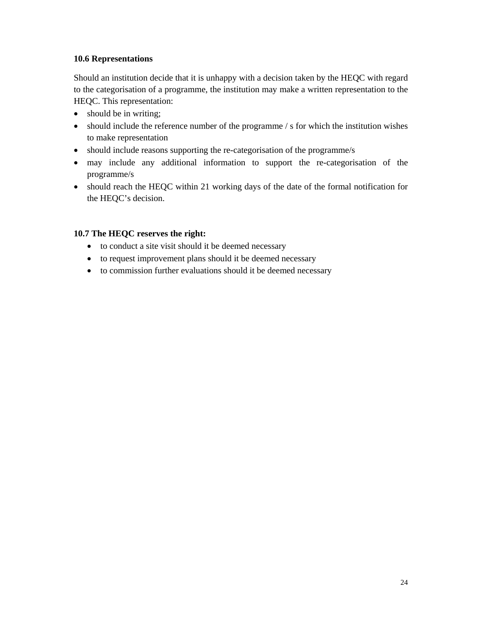# **10.6 Representations**

Should an institution decide that it is unhappy with a decision taken by the HEQC with regard to the categorisation of a programme, the institution may make a written representation to the HEQC. This representation:

- should be in writing;
- should include the reference number of the programme / s for which the institution wishes to make representation
- should include reasons supporting the re-categorisation of the programme/s
- may include any additional information to support the re-categorisation of the programme/s
- should reach the HEQC within 21 working days of the date of the formal notification for the HEQC's decision.

# **10.7 The HEQC reserves the right:**

- to conduct a site visit should it be deemed necessary
- to request improvement plans should it be deemed necessary
- to commission further evaluations should it be deemed necessary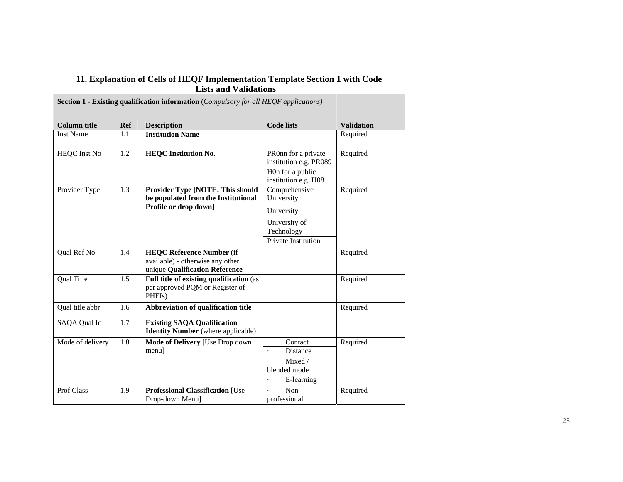### **11. Explanation of Cells of HEQF Implementation Template Section 1 with Code Lists and Validations**

٠

| <b>Section 1 - Existing qualification information</b> ( <i>Compulsory for all HEQF applications</i> ) |                  |                                           |                                               |                   |  |  |
|-------------------------------------------------------------------------------------------------------|------------------|-------------------------------------------|-----------------------------------------------|-------------------|--|--|
|                                                                                                       |                  |                                           |                                               |                   |  |  |
| <b>Column title</b>                                                                                   | <b>Ref</b>       | <b>Description</b>                        | <b>Code lists</b>                             | <b>Validation</b> |  |  |
| <b>Inst Name</b>                                                                                      | 1.1              | <b>Institution Name</b>                   |                                               | Required          |  |  |
|                                                                                                       |                  |                                           |                                               |                   |  |  |
| <b>HEQC</b> Inst No                                                                                   | $\overline{1.2}$ | <b>HEQC</b> Institution No.               | PR0nn for a private<br>institution e.g. PR089 | Required          |  |  |
|                                                                                                       |                  |                                           |                                               |                   |  |  |
|                                                                                                       |                  |                                           | H0n for a public<br>institution e.g. H08      |                   |  |  |
| Provider Type                                                                                         | 1.3              | <b>Provider Type [NOTE: This should</b>   | Comprehensive                                 | Required          |  |  |
|                                                                                                       |                  | be populated from the Institutional       | University                                    |                   |  |  |
|                                                                                                       |                  | Profile or drop down]                     | University                                    |                   |  |  |
|                                                                                                       |                  |                                           | University of                                 |                   |  |  |
|                                                                                                       |                  |                                           | Technology                                    |                   |  |  |
|                                                                                                       |                  |                                           | Private Institution                           |                   |  |  |
| Qual Ref No                                                                                           | 1.4              | <b>HEQC Reference Number (if</b>          |                                               | Required          |  |  |
|                                                                                                       |                  | available) - otherwise any other          |                                               |                   |  |  |
|                                                                                                       |                  | unique Qualification Reference            |                                               |                   |  |  |
| <b>Qual Title</b>                                                                                     | 1.5              | Full title of existing qualification (as  |                                               | Required          |  |  |
|                                                                                                       |                  | per approved PQM or Register of<br>PHEIs) |                                               |                   |  |  |
|                                                                                                       |                  |                                           |                                               |                   |  |  |
| Qual title abbr                                                                                       | 1.6              | Abbreviation of qualification title       |                                               | Required          |  |  |
| SAQA Qual Id                                                                                          | $\overline{1.7}$ | <b>Existing SAQA Qualification</b>        |                                               |                   |  |  |
|                                                                                                       |                  | <b>Identity Number</b> (where applicable) |                                               |                   |  |  |
| Mode of delivery                                                                                      | 1.8              | Mode of Delivery [Use Drop down           | Contact<br>$\ddot{\phantom{a}}$               | Required          |  |  |
|                                                                                                       |                  | menu]                                     | Distance<br>$\ddot{\phantom{0}}$              |                   |  |  |
|                                                                                                       |                  |                                           | Mixed /                                       |                   |  |  |
|                                                                                                       |                  |                                           | blended mode                                  |                   |  |  |
|                                                                                                       |                  |                                           | E-learning                                    |                   |  |  |
| Prof Class                                                                                            | 1.9              | <b>Professional Classification [Use</b>   | Non-<br>$\ddot{\phantom{0}}$                  | Required          |  |  |
|                                                                                                       |                  | Drop-down Menu]                           | professional                                  |                   |  |  |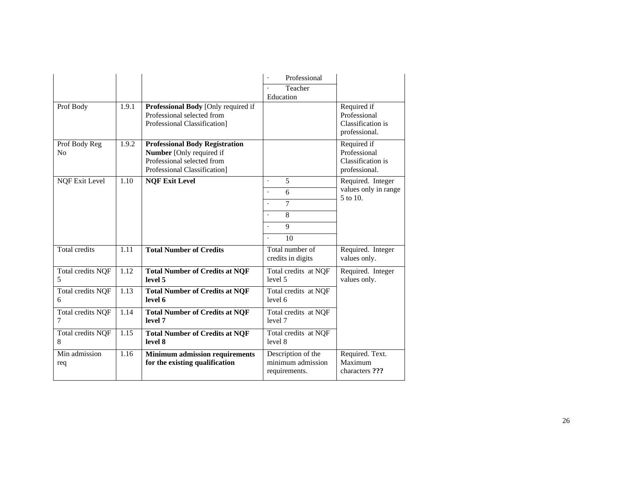|                        |       |                                                                                                                                        | Professional<br>Teacher                                  |                                                                   |
|------------------------|-------|----------------------------------------------------------------------------------------------------------------------------------------|----------------------------------------------------------|-------------------------------------------------------------------|
|                        |       |                                                                                                                                        | Education                                                |                                                                   |
| Prof Body              | 1.9.1 | Professional Body [Only required if<br>Professional selected from<br>Professional Classification]                                      |                                                          | Required if<br>Professional<br>Classification is<br>professional. |
| Prof Body Reg<br>No    | 1.9.2 | <b>Professional Body Registration</b><br><b>Number</b> [Only required if<br>Professional selected from<br>Professional Classification] |                                                          | Required if<br>Professional<br>Classification is<br>professional. |
| <b>NQF Exit Level</b>  | 1.10  | <b>NOF Exit Level</b>                                                                                                                  | 5<br>$\overline{a}$                                      | Required. Integer                                                 |
|                        |       |                                                                                                                                        | 6                                                        | values only in range<br>5 to 10.                                  |
|                        |       |                                                                                                                                        | $\overline{7}$                                           |                                                                   |
|                        |       |                                                                                                                                        | 8<br>$\ddot{\phantom{1}}$                                |                                                                   |
|                        |       |                                                                                                                                        | 9<br>$\ddot{\phantom{0}}$                                |                                                                   |
|                        |       |                                                                                                                                        | 10                                                       |                                                                   |
| <b>Total credits</b>   | 1.11  | <b>Total Number of Credits</b>                                                                                                         | Total number of<br>credits in digits                     | Required. Integer<br>values only.                                 |
| Total credits NQF      | 1.12  | <b>Total Number of Credits at NQF</b>                                                                                                  | Total credits at NQF                                     | Required. Integer                                                 |
| 5                      |       | level 5                                                                                                                                | level 5                                                  | values only.                                                      |
| Total credits NQF<br>6 | 1.13  | <b>Total Number of Credits at NQF</b><br>level 6                                                                                       | Total credits at NQF<br>level 6                          |                                                                   |
| Total credits NQF<br>7 | 1.14  | <b>Total Number of Credits at NQF</b><br>level 7                                                                                       | Total credits at NQF<br>level 7                          |                                                                   |
| Total credits NQF<br>8 | 1.15  | <b>Total Number of Credits at NQF</b><br>level 8                                                                                       | Total credits at NQF<br>level 8                          |                                                                   |
| Min admission<br>req   | 1.16  | <b>Minimum admission requirements</b><br>for the existing qualification                                                                | Description of the<br>minimum admission<br>requirements. | Required. Text.<br>Maximum<br>characters ???                      |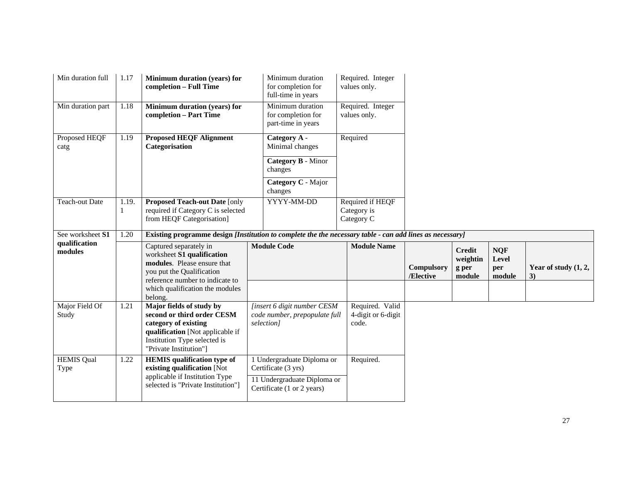| Min duration full         | 1.17       | <b>Minimum duration (years) for</b><br>completion - Full Time                                                                                                                | Minimum duration<br>for completion for<br>full-time in years                                      | Required. Integer<br>values only.              |                                |                                              |                                      |                                 |
|---------------------------|------------|------------------------------------------------------------------------------------------------------------------------------------------------------------------------------|---------------------------------------------------------------------------------------------------|------------------------------------------------|--------------------------------|----------------------------------------------|--------------------------------------|---------------------------------|
| Min duration part         | 1.18       | Minimum duration (years) for<br>completion - Part Time                                                                                                                       | Minimum duration<br>for completion for<br>part-time in years                                      | Required. Integer<br>values only.              |                                |                                              |                                      |                                 |
| Proposed HEQF<br>catg     | 1.19       | <b>Proposed HEQF Alignment</b><br>Categorisation                                                                                                                             | Category A -<br>Minimal changes<br>Category B - Minor<br>changes<br>Category C - Major<br>changes | Required                                       |                                |                                              |                                      |                                 |
| <b>Teach-out Date</b>     | 1.19.<br>1 | <b>Proposed Teach-out Date [only</b><br>required if Category C is selected<br>from HEQF Categorisation]                                                                      | YYYY-MM-DD                                                                                        | Required if HEQF<br>Category is<br>Category C  |                                |                                              |                                      |                                 |
| See worksheet S1          | 1.20       | Existing programme design [Institution to complete the the necessary table - can add lines as necessary]                                                                     |                                                                                                   |                                                |                                |                                              |                                      |                                 |
| qualification<br>modules  |            | Captured separately in<br>worksheet S1 qualification<br>modules. Please ensure that<br>you put the Qualification<br>reference number to indicate to                          | <b>Module Code</b>                                                                                | <b>Module Name</b>                             | <b>Compulsory</b><br>/Elective | <b>Credit</b><br>weightin<br>g per<br>module | <b>NQF</b><br>Level<br>per<br>module | Year of study $(1, 2, 1)$<br>3) |
|                           |            | which qualification the modules<br>belong.                                                                                                                                   |                                                                                                   |                                                |                                |                                              |                                      |                                 |
| Major Field Of<br>Study   | 1.21       | Major fields of study by<br>second or third order CESM<br>category of existing<br>qualification [Not applicable if<br>Institution Type selected is<br>"Private Institution"] | [insert 6 digit number CESM<br>code number, prepopulate full<br>selection]                        | Required. Valid<br>4-digit or 6-digit<br>code. |                                |                                              |                                      |                                 |
| <b>HEMIS Qual</b><br>Type | 1.22       | <b>HEMIS</b> qualification type of<br>existing qualification [Not                                                                                                            | 1 Undergraduate Diploma or<br>Certificate (3 yrs)                                                 | Required.                                      |                                |                                              |                                      |                                 |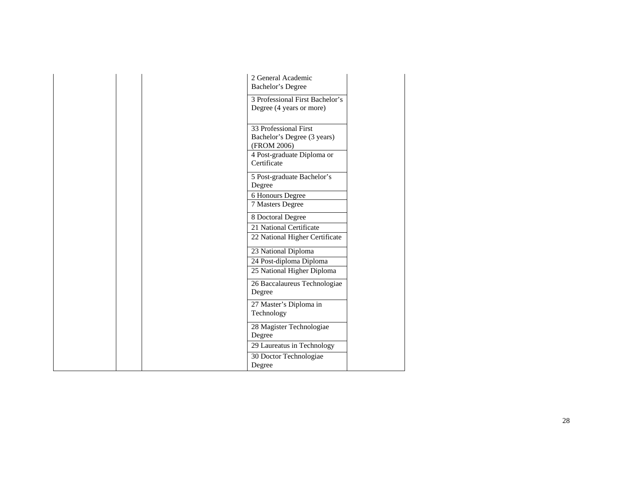| 2 General Academic<br>Bachelor's Degree                                                                          |  |
|------------------------------------------------------------------------------------------------------------------|--|
| 3 Professional First Bachelor's<br>Degree (4 years or more)                                                      |  |
| 33 Professional First<br>Bachelor's Degree (3 years)<br>(FROM 2006)<br>4 Post-graduate Diploma or<br>Certificate |  |
| 5 Post-graduate Bachelor's<br>Degree<br>6 Honours Degree                                                         |  |
| 7 Masters Degree<br>8 Doctoral Degree<br>21 National Certificate                                                 |  |
| 22 National Higher Certificate<br>23 National Diploma                                                            |  |
| 24 Post-diploma Diploma<br>25 National Higher Diploma<br>26 Baccalaureus Technologiae                            |  |
| Degree<br>27 Master's Diploma in                                                                                 |  |
| Technology<br>28 Magister Technologiae<br>Degree                                                                 |  |
| 29 Laureatus in Technology<br>30 Doctor Technologiae<br>Degree                                                   |  |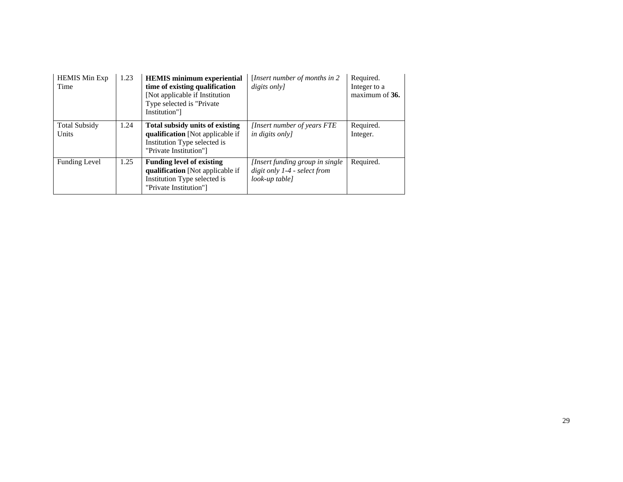| <b>HEMIS</b> Min Exp<br>Time  | 1.23 | <b>HEMIS</b> minimum experiential<br>time of existing qualification<br>[Not applicable if Institution]<br>Type selected is "Private"<br>Institution"] | [Insert number of months in 2<br>digits only]                                      | Required.<br>Integer to a<br>maximum of 36. |
|-------------------------------|------|-------------------------------------------------------------------------------------------------------------------------------------------------------|------------------------------------------------------------------------------------|---------------------------------------------|
| <b>Total Subsidy</b><br>Units | 1.24 | Total subsidy units of existing<br><b>qualification</b> [Not applicable if<br>Institution Type selected is<br>"Private Institution"]                  | [Insert number of years FTE]<br><i>in digits only</i>                              | Required.<br>Integer.                       |
| <b>Funding Level</b>          | 1.25 | <b>Funding level of existing</b><br>qualification [Not applicable if]<br>Institution Type selected is<br>"Private Institution"]                       | [Insert funding group in single]<br>digit only 1-4 - select from<br>look-up table] | Required.                                   |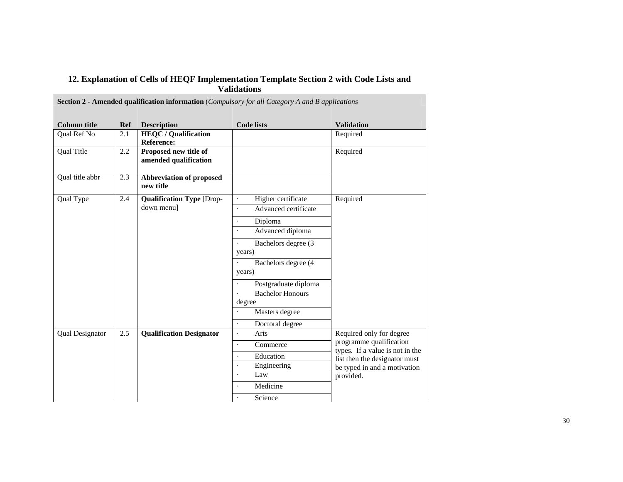| 12. Explanation of Cells of HEQF Implementation Template Section 2 with Code Lists and |
|----------------------------------------------------------------------------------------|
| <b>Validations</b>                                                                     |

| <b>Column title</b>    | <b>Ref</b> | <b>Description</b>                             | <b>Code lists</b>                            | <b>Validation</b>                                          |
|------------------------|------------|------------------------------------------------|----------------------------------------------|------------------------------------------------------------|
| Qual Ref No            | 2.1        | <b>HEQC</b> / Qualification                    |                                              | Required                                                   |
|                        |            | <b>Reference:</b>                              |                                              |                                                            |
| <b>Qual Title</b>      | 2.2        | Proposed new title of<br>amended qualification |                                              | Required                                                   |
| Qual title abbr        | 2.3        | Abbreviation of proposed<br>new title          |                                              |                                                            |
| Qual Type              | 2.4        | <b>Qualification Type [Drop-</b>               | Higher certificate                           | Required                                                   |
|                        |            | down menu]                                     | Advanced certificate<br>$\ddot{\phantom{1}}$ |                                                            |
|                        |            |                                                | Diploma                                      |                                                            |
|                        |            |                                                | Advanced diploma                             |                                                            |
|                        |            |                                                | Bachelors degree (3                          |                                                            |
|                        |            |                                                | years)                                       |                                                            |
|                        |            |                                                | Bachelors degree (4                          |                                                            |
|                        |            |                                                | years)                                       |                                                            |
|                        |            |                                                | Postgraduate diploma                         |                                                            |
|                        |            |                                                | <b>Bachelor Honours</b>                      |                                                            |
|                        |            |                                                | degree                                       |                                                            |
|                        |            |                                                | Masters degree                               |                                                            |
|                        |            |                                                | Doctoral degree<br>$\bullet$                 |                                                            |
| <b>Qual Designator</b> | 2.5        | <b>Qualification Designator</b>                | Arts<br>$\cdot$                              | Required only for degree                                   |
|                        |            |                                                | Commerce<br>$\cdot$                          | programme qualification<br>types. If a value is not in the |
|                        |            |                                                | Education                                    | list then the designator must                              |
|                        |            |                                                | Engineering<br>$\bullet$                     | be typed in and a motivation                               |
|                        |            |                                                | Law                                          | provided.                                                  |
|                        |            |                                                | Medicine                                     |                                                            |
|                        |            |                                                | Science                                      |                                                            |

**Section 2 - Amended qualification information** (*Compulsory for all Category A and B applications*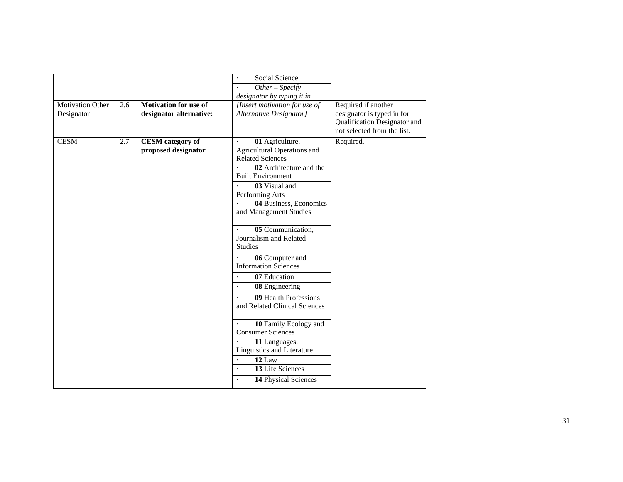|                         |     |                              | Social Science                |                                                            |
|-------------------------|-----|------------------------------|-------------------------------|------------------------------------------------------------|
|                         |     |                              | $Other-Specify$               |                                                            |
|                         |     |                              | designator by typing it in    |                                                            |
| <b>Motivation Other</b> | 2.6 | <b>Motivation for use of</b> | [Insert motivation for use of | Required if another                                        |
| Designator              |     | designator alternative:      | Alternative Designator]       | designator is typed in for<br>Qualification Designator and |
|                         |     |                              |                               | not selected from the list.                                |
| <b>CESM</b>             | 2.7 | <b>CESM</b> category of      | 01 Agriculture,               | Required.                                                  |
|                         |     | proposed designator          | Agricultural Operations and   |                                                            |
|                         |     |                              | <b>Related Sciences</b>       |                                                            |
|                         |     |                              | 02 Architecture and the       |                                                            |
|                         |     |                              | <b>Built Environment</b>      |                                                            |
|                         |     |                              | 03 Visual and                 |                                                            |
|                         |     |                              | Performing Arts               |                                                            |
|                         |     |                              | 04 Business, Economics        |                                                            |
|                         |     |                              | and Management Studies        |                                                            |
|                         |     |                              | 05 Communication,             |                                                            |
|                         |     |                              | Journalism and Related        |                                                            |
|                         |     |                              | <b>Studies</b>                |                                                            |
|                         |     |                              | 06 Computer and               |                                                            |
|                         |     |                              | <b>Information Sciences</b>   |                                                            |
|                         |     |                              | 07 Education                  |                                                            |
|                         |     |                              | 08 Engineering                |                                                            |
|                         |     |                              | 09 Health Professions         |                                                            |
|                         |     |                              | and Related Clinical Sciences |                                                            |
|                         |     |                              | 10 Family Ecology and         |                                                            |
|                         |     |                              | <b>Consumer Sciences</b>      |                                                            |
|                         |     |                              | 11 Languages,                 |                                                            |
|                         |     |                              | Linguistics and Literature    |                                                            |
|                         |     |                              | 12 Law                        |                                                            |
|                         |     |                              | 13 Life Sciences              |                                                            |
|                         |     |                              | 14 Physical Sciences          |                                                            |
|                         |     |                              |                               |                                                            |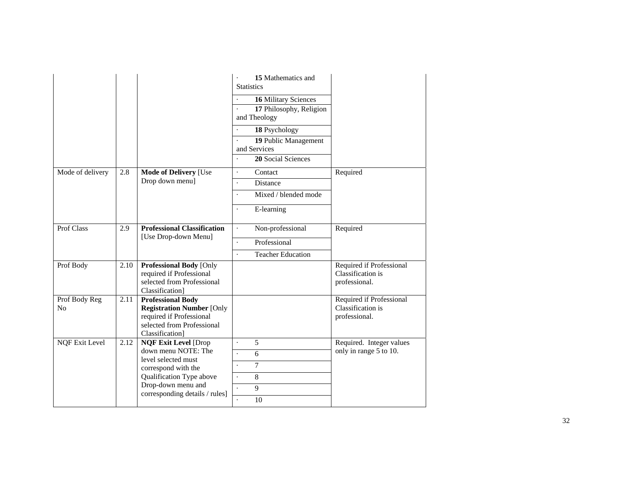|                                 |      |                                                                                                                                           | 15 Mathematics and<br><b>Statistics</b><br>16 Military Sciences<br>17 Philosophy, Religion<br>and Theology |                                                                |
|---------------------------------|------|-------------------------------------------------------------------------------------------------------------------------------------------|------------------------------------------------------------------------------------------------------------|----------------------------------------------------------------|
|                                 |      |                                                                                                                                           | 18 Psychology                                                                                              |                                                                |
|                                 |      |                                                                                                                                           | 19 Public Management<br>and Services                                                                       |                                                                |
|                                 |      |                                                                                                                                           | 20 Social Sciences                                                                                         |                                                                |
| Mode of delivery                | 2.8  | <b>Mode of Delivery [Use</b>                                                                                                              | Contact<br>$\ddot{\phantom{0}}$                                                                            | Required                                                       |
|                                 |      | Drop down menu]                                                                                                                           | Distance<br>¥.                                                                                             |                                                                |
|                                 |      |                                                                                                                                           | Mixed / blended mode<br>$\ddot{\phantom{0}}$                                                               |                                                                |
|                                 |      |                                                                                                                                           | E-learning                                                                                                 |                                                                |
| Prof Class                      | 2.9  | <b>Professional Classification</b>                                                                                                        | Non-professional<br>¥.                                                                                     | Required                                                       |
|                                 |      | [Use Drop-down Menu]                                                                                                                      | Professional                                                                                               |                                                                |
|                                 |      |                                                                                                                                           | <b>Teacher Education</b><br>$\ddot{\phantom{0}}$                                                           |                                                                |
| Prof Body                       | 2.10 | <b>Professional Body [Only</b><br>required if Professional<br>selected from Professional<br>Classification]                               |                                                                                                            | Required if Professional<br>Classification is<br>professional. |
| Prof Body Reg<br>N <sub>0</sub> | 2.11 | <b>Professional Body</b><br><b>Registration Number [Only</b><br>required if Professional<br>selected from Professional<br>Classification] |                                                                                                            | Required if Professional<br>Classification is<br>professional. |
| <b>NQF Exit Level</b>           | 2.12 | <b>NQF Exit Level [Drop</b>                                                                                                               | 5<br>$\ddot{\phantom{0}}$                                                                                  | Required. Integer values                                       |
|                                 |      | down menu NOTE: The<br>level selected must                                                                                                | 6                                                                                                          | only in range 5 to 10.                                         |
|                                 |      | correspond with the                                                                                                                       | $\overline{7}$                                                                                             |                                                                |
|                                 |      | Qualification Type above                                                                                                                  | 8                                                                                                          |                                                                |
|                                 |      | Drop-down menu and<br>corresponding details / rules]                                                                                      | 9                                                                                                          |                                                                |
|                                 |      |                                                                                                                                           | 10                                                                                                         |                                                                |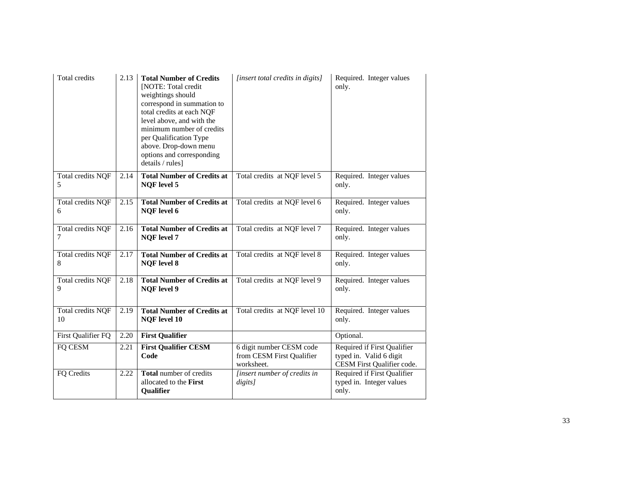| Total credits                | 2.13 | <b>Total Number of Credits</b><br><b>INOTE:</b> Total credit<br>weightings should<br>correspond in summation to<br>total credits at each NQF<br>level above, and with the<br>minimum number of credits<br>per Qualification Type<br>above. Drop-down menu<br>options and corresponding<br>details / rules] | [insert total credits in digits]                                    | Required. Integer values<br>only.                                                    |
|------------------------------|------|------------------------------------------------------------------------------------------------------------------------------------------------------------------------------------------------------------------------------------------------------------------------------------------------------------|---------------------------------------------------------------------|--------------------------------------------------------------------------------------|
| Total credits NQF<br>5       | 2.14 | <b>Total Number of Credits at</b><br><b>NQF</b> level 5                                                                                                                                                                                                                                                    | Total credits at NQF level 5                                        | Required. Integer values<br>only.                                                    |
| Total credits NQF<br>6       | 2.15 | <b>Total Number of Credits at</b><br><b>NQF</b> level 6                                                                                                                                                                                                                                                    | Total credits at NQF level 6                                        | Required. Integer values<br>only.                                                    |
| Total credits NQF<br>7       | 2.16 | <b>Total Number of Credits at</b><br><b>NQF</b> level 7                                                                                                                                                                                                                                                    | Total credits at NQF level 7                                        | Required. Integer values<br>only.                                                    |
| Total credits NQF<br>$\,8\,$ | 2.17 | <b>Total Number of Credits at</b><br><b>NQF</b> level 8                                                                                                                                                                                                                                                    | Total credits at NQF level 8                                        | Required. Integer values<br>only.                                                    |
| Total credits NQF<br>9       | 2.18 | <b>Total Number of Credits at</b><br><b>NQF</b> level 9                                                                                                                                                                                                                                                    | Total credits at NQF level 9                                        | Required. Integer values<br>only.                                                    |
| Total credits NQF<br>10      | 2.19 | <b>Total Number of Credits at</b><br><b>NQF</b> level 10                                                                                                                                                                                                                                                   | Total credits at NQF level 10                                       | Required. Integer values<br>only.                                                    |
| First Qualifier FQ           | 2.20 | <b>First Qualifier</b>                                                                                                                                                                                                                                                                                     |                                                                     | Optional.                                                                            |
| FQ CESM                      | 2.21 | <b>First Qualifier CESM</b><br>Code                                                                                                                                                                                                                                                                        | 6 digit number CESM code<br>from CESM First Qualifier<br>worksheet. | Required if First Qualifier<br>typed in. Valid 6 digit<br>CESM First Qualifier code. |
| FQ Credits                   | 2.22 | Total number of credits<br>allocated to the First<br>Qualifier                                                                                                                                                                                                                                             | [insert number of credits in<br>digits]                             | Required if First Qualifier<br>typed in. Integer values<br>only.                     |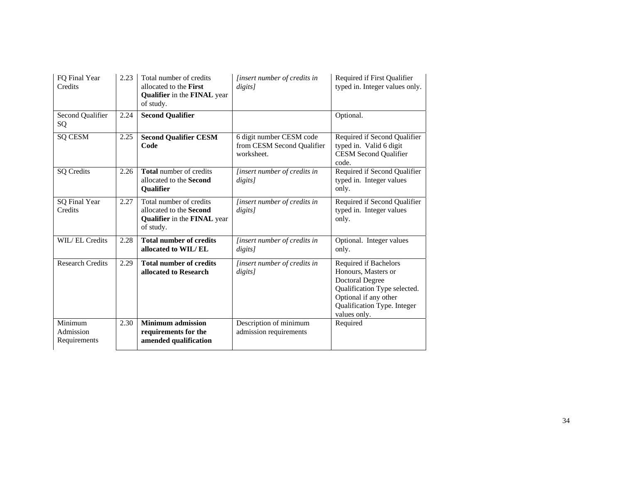| FQ Final Year<br>Credits             | 2.23 | Total number of credits<br>allocated to the First<br>Qualifier in the FINAL year<br>of study.  | <i>linsert number of credits in</i><br>digits]                       | Required if First Qualifier<br>typed in. Integer values only.                                                                                                                  |
|--------------------------------------|------|------------------------------------------------------------------------------------------------|----------------------------------------------------------------------|--------------------------------------------------------------------------------------------------------------------------------------------------------------------------------|
| Second Qualifier<br>SQ               | 2.24 | <b>Second Qualifier</b>                                                                        |                                                                      | Optional.                                                                                                                                                                      |
| <b>SQ CESM</b>                       | 2.25 | <b>Second Qualifier CESM</b><br>Code                                                           | 6 digit number CESM code<br>from CESM Second Qualifier<br>worksheet. | Required if Second Qualifier<br>typed in. Valid 6 digit<br><b>CESM Second Qualifier</b><br>code.                                                                               |
| <b>SQ</b> Credits                    | 2.26 | <b>Total</b> number of credits<br>allocated to the Second<br>Qualifier                         | [insert number of credits in<br>digits]                              | Required if Second Qualifier<br>typed in. Integer values<br>only.                                                                                                              |
| SQ Final Year<br>Credits             | 2.27 | Total number of credits<br>allocated to the Second<br>Qualifier in the FINAL year<br>of study. | <i>linsert number of credits in</i><br>digits]                       | Required if Second Qualifier<br>typed in. Integer values<br>only.                                                                                                              |
| <b>WIL/EL Credits</b>                | 2.28 | <b>Total number of credits</b><br>allocated to WIL/EL                                          | [insert number of credits in<br>digits]                              | Optional. Integer values<br>only.                                                                                                                                              |
| <b>Research Credits</b>              | 2.29 | <b>Total number of credits</b><br>allocated to Research                                        | [insert number of credits in<br>digits]                              | Required if Bachelors<br>Honours, Masters or<br><b>Doctoral Degree</b><br>Qualification Type selected.<br>Optional if any other<br>Qualification Type. Integer<br>values only. |
| Minimum<br>Admission<br>Requirements | 2.30 | <b>Minimum admission</b><br>requirements for the<br>amended qualification                      | Description of minimum<br>admission requirements                     | Required                                                                                                                                                                       |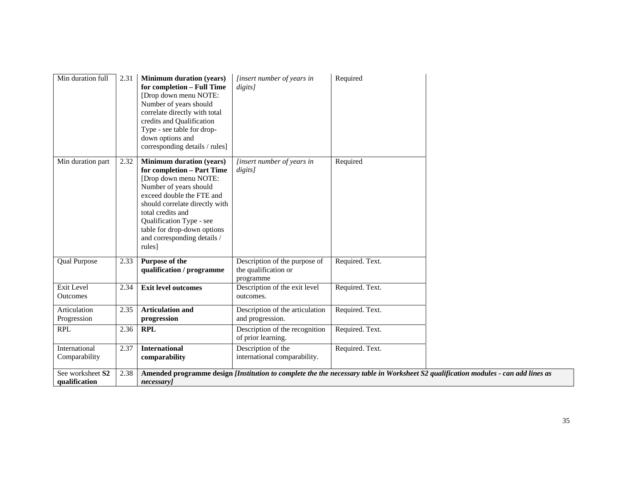| Min duration full                 | 2.31 | <b>Minimum duration (years)</b><br>for completion - Full Time<br>[Drop down menu NOTE:<br>Number of years should<br>correlate directly with total<br>credits and Qualification<br>Type - see table for drop-<br>down options and<br>corresponding details / rules]                                       | [insert number of years in<br>digits]                              | Required        |                                                                                                                                    |
|-----------------------------------|------|----------------------------------------------------------------------------------------------------------------------------------------------------------------------------------------------------------------------------------------------------------------------------------------------------------|--------------------------------------------------------------------|-----------------|------------------------------------------------------------------------------------------------------------------------------------|
| Min duration part                 | 2.32 | <b>Minimum duration (years)</b><br>for completion - Part Time<br>[Drop down menu NOTE:<br>Number of years should<br>exceed double the FTE and<br>should correlate directly with<br>total credits and<br>Qualification Type - see<br>table for drop-down options<br>and corresponding details /<br>rules] | [insert number of years in<br>digits]                              | Required        |                                                                                                                                    |
| <b>Qual Purpose</b>               | 2.33 | Purpose of the<br>qualification / programme                                                                                                                                                                                                                                                              | Description of the purpose of<br>the qualification or<br>programme | Required. Text. |                                                                                                                                    |
| Exit Level<br><b>Outcomes</b>     | 2.34 | <b>Exit level outcomes</b>                                                                                                                                                                                                                                                                               | Description of the exit level<br>outcomes.                         | Required. Text. |                                                                                                                                    |
| Articulation<br>Progression       | 2.35 | <b>Articulation and</b><br>progression                                                                                                                                                                                                                                                                   | Description of the articulation<br>and progression.                | Required. Text. |                                                                                                                                    |
| <b>RPL</b>                        | 2.36 | <b>RPL</b>                                                                                                                                                                                                                                                                                               | Description of the recognition<br>of prior learning.               | Required. Text. |                                                                                                                                    |
| International<br>Comparability    | 2.37 | <b>International</b><br>comparability                                                                                                                                                                                                                                                                    | Description of the<br>international comparability.                 | Required. Text. |                                                                                                                                    |
| See worksheet S2<br>qualification | 2.38 | necessary]                                                                                                                                                                                                                                                                                               |                                                                    |                 | Amended programme design [Institution to complete the the necessary table in Worksheet S2 qualification modules - can add lines as |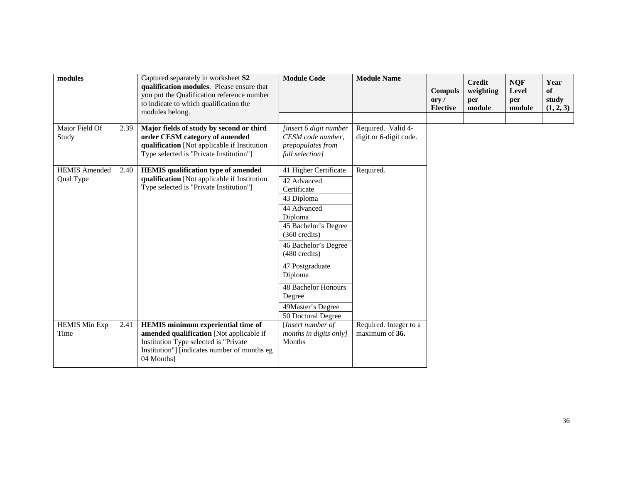| modules                           |      | Captured separately in worksheet S2<br>qualification modules. Please ensure that<br>you put the Qualification reference number<br>to indicate to which qualification the<br>modules belong.  | <b>Module Code</b>                                                                                                                                                                                                                                                                                          | <b>Module Name</b>                           | <b>Compuls</b><br>$\mathbf{ory}\,$ /<br><b>Elective</b> | <b>Credit</b><br>weighting<br>per<br>module | <b>NQF</b><br>Level<br>per<br>module | Year<br>of<br>study<br>(1, 2, 3) |
|-----------------------------------|------|----------------------------------------------------------------------------------------------------------------------------------------------------------------------------------------------|-------------------------------------------------------------------------------------------------------------------------------------------------------------------------------------------------------------------------------------------------------------------------------------------------------------|----------------------------------------------|---------------------------------------------------------|---------------------------------------------|--------------------------------------|----------------------------------|
| Major Field Of<br>Study           | 2.39 | Major fields of study by second or third<br>order CESM category of amended<br>qualification [Not applicable if Institution<br>Type selected is "Private Institution"]                        | [insert 6 digit number<br>CESM code number,<br>prepopulates from<br>full selection]                                                                                                                                                                                                                         | Required. Valid 4-<br>digit or 6-digit code. |                                                         |                                             |                                      |                                  |
| <b>HEMIS Amended</b><br>Qual Type | 2.40 | <b>HEMIS</b> qualification type of amended<br>qualification [Not applicable if Institution<br>Type selected is "Private Institution"]                                                        | 41 Higher Certificate<br>42 Advanced<br>Certificate<br>43 Diploma<br>44 Advanced<br>Diploma<br>45 Bachelor's Degree<br>$(360 \text{ credits})$<br>46 Bachelor's Degree<br>$(480 \text{ credits})$<br>47 Postgraduate<br>Diploma<br>48 Bachelor Honours<br>Degree<br>49Master's Degree<br>50 Doctoral Degree | Required.                                    |                                                         |                                             |                                      |                                  |
| <b>HEMIS Min Exp</b><br>Time      | 2.41 | <b>HEMIS</b> minimum experiential time of<br>amended qualification [Not applicable if<br>Institution Type selected is "Private<br>Institution"] [indicates number of months eg<br>04 Months] | [Insert number of<br>months in digits only]<br>Months                                                                                                                                                                                                                                                       | Required. Integer to a<br>maximum of 36.     |                                                         |                                             |                                      |                                  |